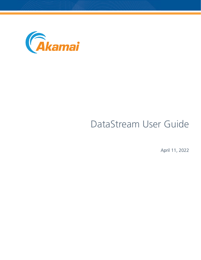

# DataStream User Guide

April 11, 2022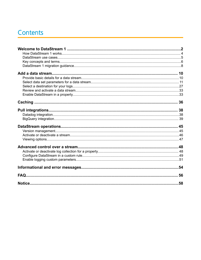## Contents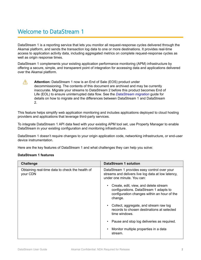## <span id="page-3-0"></span>Welcome to DataStream 1

DataStream 1 is a reporting service that lets you monitor all request-response cycles delivered through the Akamai platform, and sends the transaction log data to one or more destinations. It provides real-time access to application activity data, including aggregated metrics on complete request-response cycles as well as origin response times.

DataStream 1 complements your existing application performance monitoring (APM) infrastructure by offering a secure, simple, and transparent point of integration for accessing data and applications delivered over the Akamai platform.

**Attention:** DataStream 1 now is an End of Sale (EOS) product under decommissioning. The contents of this document are archived and may be currently inaccurate. Migrate your streams to DataStream 2 before this product becomes End of Life (EOL) to ensure uninterrupted data flow. See the *[DataStream migration](https://techdocs.akamai.com/datastream2/docs/datastream-migration-guide)* guide for details on how to migrate and the differences between DataStream 1 and DataStream 2.

This feature helps simplify web application monitoring and includes applications deployed to cloud hosting providers and applications that leverage third-party services.

To integrate DataStream 1 API data feed with your existing APM tool set, use Property Manager to enable DataStream in your existing configuration and monitoring infrastructure.

DataStream 1 doesn't require changes to your origin application code, networking infrastructure, or end-user device instrumentation.

Here are the key features of DataStream 1 and what challenges they can help you solve:

#### **DataStream 1 features**

 $\sqrt{N}$ 

| <b>Challenge</b>                                            | <b>DataStream 1 solution</b>                                                                                                                   |
|-------------------------------------------------------------|------------------------------------------------------------------------------------------------------------------------------------------------|
| Obtaining real-time data to check the health of<br>your CDN | DataStream 1 provides easy control over your<br>streams and delivers live log data at low latency,<br>under one minute. You can:               |
|                                                             | Create, edit, view, and delete stream<br>٠<br>configurations. DataStream 1 adapts to<br>configuration changes within an hour of the<br>change. |
|                                                             | Collect, aggregate, and stream raw log<br>$\bullet$<br>records to chosen destinations at selected<br>time windows.                             |
|                                                             | Pause and stop log deliveries as required.                                                                                                     |
|                                                             | Monitor multiple properties in a data<br>stream.                                                                                               |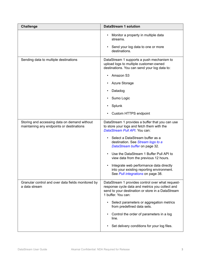| <b>Challenge</b>                                                                          | <b>DataStream 1 solution</b>                                                                                                                                                   |
|-------------------------------------------------------------------------------------------|--------------------------------------------------------------------------------------------------------------------------------------------------------------------------------|
|                                                                                           | Monitor a property in multiple data<br>streams.                                                                                                                                |
|                                                                                           | Send your log data to one or more<br>destinations.                                                                                                                             |
| Sending data to multiple destinations                                                     | DataStream 1 supports a push mechanism to<br>upload logs to multiple customer-owned<br>destinations. You can send your log data to:                                            |
|                                                                                           | Amazon S3                                                                                                                                                                      |
|                                                                                           | <b>Azure Storage</b>                                                                                                                                                           |
|                                                                                           | Datadog                                                                                                                                                                        |
|                                                                                           | Sumo Logic                                                                                                                                                                     |
|                                                                                           | Splunk                                                                                                                                                                         |
|                                                                                           | Custom HTTPS endpoint                                                                                                                                                          |
| Storing and accessing data on demand without<br>maintaining any endpoints or destinations | DataStream 1 provides a buffer that you can use<br>to store your logs and fetch them with the<br>DataStream Pull API. You can:                                                 |
|                                                                                           | Select a DataStream buffer as a<br>destination. See Stream logs to a<br>DataStream buffer on page 32.                                                                          |
|                                                                                           | Use the DataStream 1 Buffer Pull API to<br>view data from the previous 12 hours.                                                                                               |
|                                                                                           | Integrate web performance data directly<br>$\bullet$<br>into your existing reporting environment.<br>See Pull integrations on page 38.                                         |
| Granular control and over data fields monitored by<br>a data stream                       | DataStream 1 provides control over what request-<br>response cycle data and metrics you collect and<br>send to your destination or store in a DataStream<br>1 buffer. You can: |
|                                                                                           | Select parameters or aggregation metrics<br>from predefined data sets.                                                                                                         |
|                                                                                           | Control the order of parameters in a log<br>$\bullet$<br>line.                                                                                                                 |
|                                                                                           | Set delivery conditions for your log files.                                                                                                                                    |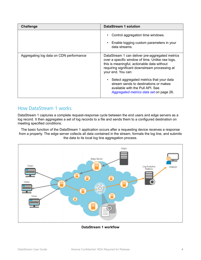<span id="page-5-0"></span>

| <b>Challenge</b>                        | <b>DataStream 1 solution</b>                                                                                                                                                                                               |
|-----------------------------------------|----------------------------------------------------------------------------------------------------------------------------------------------------------------------------------------------------------------------------|
|                                         | Control aggregation time windows.<br>$\bullet$<br>Enable logging custom parameters in your<br>data streams.                                                                                                                |
| Aggregating log data on CDN performance | DataStream 1 can deliver pre-aggregated metrics<br>over a specific window of time. Unlike raw logs,<br>this is meaningful, actionable data without<br>requiring significant downstream processing at<br>your end. You can: |
|                                         | Select aggregated metrics that your data<br>stream sends to destinations or makes<br>available with the Pull API. See<br>Aggregated metrics data set on page 26.                                                           |

## How DataStream 1 works

DataStream 1 captures a complete request-response cycle between the end users and edge servers as a log record. It then aggregates a set of log records to a file and sends them to a configured destination on meeting specified conditions.

The basic function of the DataStream 1 application occurs after a requesting device receives a response from a property. The edge server collects all data contained in the stream, formats the log line, and submits the data to its local log line aggregation process.



**DataStream 1 workflow**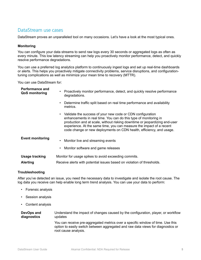## <span id="page-6-0"></span>DataStream use cases

DataStream proves an unparalleled tool on many occasions. Let's have a look at the most typical ones.

#### **Monitoring**

You can configure your data streams to send raw logs every 30 seconds or aggregated logs as often as every minute. This low latency streaming can help you proactively monitor performance, detect, and quickly resolve performance degradations.

You can use a preferred log analytics platform to continuously ingest logs and set up real-time dashboards or alerts. This helps you proactively mitigate connectivity problems, service disruptions, and configurationtuning complications as well as minimize your mean time to recovery (MTTR).

You can use DataStream for:

| <b>Performance and</b><br><b>QoS monitoring</b> | • Proactively monitor performance, detect, and quickly resolve performance<br>degradations.                                                                                                                                                                                                                                                                    |
|-------------------------------------------------|----------------------------------------------------------------------------------------------------------------------------------------------------------------------------------------------------------------------------------------------------------------------------------------------------------------------------------------------------------------|
|                                                 | Determine traffic split based on real time performance and availability<br>metrics.                                                                                                                                                                                                                                                                            |
|                                                 | • Validate the success of your new code or CDN configuration<br>enhancements in real time. You can do this type of monitoring in<br>production and at scale, without risking downtime or jeopardizing end-user<br>experience. At the same time, you can measure the impact of a recent<br>code change or new deployments on CDN health, efficiency, and usage. |
| <b>Event monitoring</b>                         | Monitor live and streaming events<br>$\bullet$<br>Monitor software and game releases                                                                                                                                                                                                                                                                           |
| <b>Usage tracking</b><br><b>Alerting</b>        | Monitor for usage spikes to avoid exceeding commits.<br>Receive alerts with potential issues based on violation of thresholds.                                                                                                                                                                                                                                 |

#### **Troubleshooting**

After you've detected an issue, you need the necessary data to investigate and isolate the root cause. The log data you receive can help enable long term trend analysis. You can use your data to perform:

- Forensic analysis
- Session analysis
- Content analysis

| DevOps and  | Understand the impact of changes caused by the configuration, player, or workflow                                                                                                           |
|-------------|---------------------------------------------------------------------------------------------------------------------------------------------------------------------------------------------|
| diagnostics | updates                                                                                                                                                                                     |
|             | You can receive pre-aggregated metrics over a specific window of time. Use this<br>option to easily switch between aggregated and raw data views for diagnostics or<br>root cause analysis. |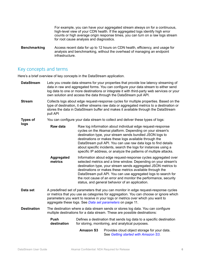For example, you can have your aggregated stream always on for a continuous, high-level view of your CDN health. If the aggregated logs identify high error counts or high average origin response times, you can turn on a raw logs stream for root cause analysis and diagnostics.

<span id="page-7-0"></span>**Benchmarking** Access recent data for up to 12 hours on CDN health, efficiency, and usage for analysis and benchmarking, without the overhead of managing an endpoint infrastructure.

### Key concepts and terms

**logs**

Here's a brief overview of key concepts in the DataStream application.

- **DataStream** Lets you create data streams for your properties that provide low latency streaming of data in raw and aggregated forms. You can configure your data stream to either send log data to one or more destinations or integrate it with third-party web services or your own solution and access the data through the DataStream pull API.
- **Stream** Collects logs about edge request-response cycles for multiple properties. Based on the type of destination, it either streams raw data or aggregated metrics to a destination or stores the data in DataStream buffer and makes it available through the DataStream pull API
- **Types of** You can configure your data stream to collect and deliver these types of logs:

**Raw data** Raw log information about individual edge request-response cycles on the Akamai platform. Depending on your stream's destination type, your stream sends bundled JSON logs to destinations or makes these logs available through the DataStream pull API. You can use raw data logs to find details about specific incidents, search the logs for instances using a specific IP address, or analyze the patterns of multiple attacks.

- **Aggregated metrics** Information about edge request-response cycles aggregated over selected metrics and a time window. Depending on your stream's destination type, your stream sends aggregated JSON metrics to destinations or makes these metrics available through the DataStream pull API. You can use aggregated logs to search for the root cause of an error and monitor the performance, security status, and general behavior of an application.
- **Data set** A predefined set of parameters that you can monitor in edge request-response cycles or metrics that you use as categories for aggregation. You can choose or ignore which parameters you want to receive in your logs or metrics over which you want to aggregate these logs. See *[Data set parameters](#page-12-0)* on page 11.

**Destination** The destination where a data stream sends or stores log data. You can configure multiple destinations for a data stream. These are possible destinations:

| <b>Push</b> | Defines a destination that sends log data to a specific destination |
|-------------|---------------------------------------------------------------------|
| destination | for storing, monitoring, and analytical purposes.                   |

**Amazon S3** Provides cloud object storage for your data. See *[Getting started with Amazon S3](https://aws.amazon.com/s3/getting-started/)*.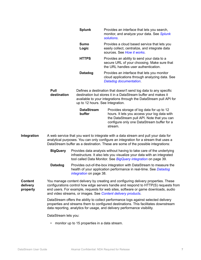| <b>Splunk</b> | Provides an interface that lets you search,<br>monitor, and analyze your data. See Splunk<br>solutions.                          |
|---------------|----------------------------------------------------------------------------------------------------------------------------------|
| Sumo<br>Logic | Provides a cloud based service that lets you<br>easily collect, centralize, and integrate data<br>sources. See How it works.     |
| <b>HTTPS</b>  | Provides an ability to send your data to a<br>secure URL of your choosing. Make sure that<br>the URL handles user authentication |
| Datadog       | Provides an interface that lets you monitor<br>cloud applications through analyzing data. See<br>Datadog documentation.          |

**Pull destination** Defines a destination that doesn't send log data to any specific destination but stores it in a DataStream buffer and makes it available to your integrations through the DataStream pull API for up to 12 hours. See Integration.

| <b>DataStream</b> | Provides storage of log data for up to 12                                                                                                           |
|-------------------|-----------------------------------------------------------------------------------------------------------------------------------------------------|
| buffer            | hours. It lets you access your log data with<br>the DataStream pull API. Note that you can<br>configure only one DataStream buffer for a<br>stream. |

**Integration** A web service that you want to integrate with a data stream and pull your data for analytical purposes. You can only configure an integration for a stream that uses a DataStream buffer as a destination. These are some of the possible integrations:

> **BigQuery** Provides data analysis without having to take care of the underlying infrastructure. It also lets you visualize your data with an integrated tool called Data Monitor. See *[BigQuery integration](#page-40-0)* on page 39.

> **Datadog** Provides out-of-the-box integration with DataStream to measure the health of your application performance in real-time. See *[Datadog](#page-39-0) [integration](#page-39-0)* on page 38.

**Content delivery property** You manage content delivery by creating and configuring delivery properties. These configurations control how edge servers handle and respond to HTTP(S) requests from end users. For example, requests for web sites, software or game downloads, audio and video streams, or images. See *[Content delivery products](https://developer.akamai.com/content-delivery)*.

> DataStream offers the ability to collect performance logs against selected delivery properties and streams them to configured destinations. This facilitates downstream data reporting, analytics for usage, and delivery performance visibility.

DataStream lets you:

• monitor up to 15 properties in a data stream.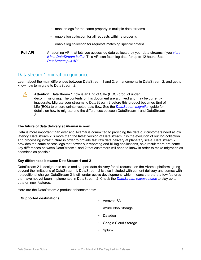- monitor logs for the same property in multiple data streams.
- enable log collection for all requests within a property.
- enable log collection for requests matching specific criteria.
- <span id="page-9-0"></span>**Pull API** A reporting API that lets you access log data collected by your data streams if you *[store](#page-33-0) [it in a DataStream buffer](#page-33-0)*. This API can fetch log data for up to 12 hours. See *[DataStream pull API](https://developer.akamai.com/api/web_performance/datastream/v1.html)*.

## DataStream 1 migration guidance

Learn about the main differences between DataStream 1 and 2, enhancements in DataStream 2, and get to know how to migrate to DataStream 2.

**Attention:** DataStream 1 now is an End of Sale (EOS) product under  $\sqrt{N}$ decommissioning. The contents of this document are archived and may be currently inaccurate. Migrate your streams to DataStream 2 before this product becomes End of Life (EOL) to ensure uninterrupted data flow. See the *[DataStream migration](https://techdocs.akamai.com/datastream2/docs/datastream-migration-guide)* guide for details on how to migrate and the differences between DataStream 1 and DataStream 2.

#### **The future of data delivery at Akamai is now**

Data is more important than ever and Akamai is committed to providing the data our customers need at low latency. DataStream 2 is more than the latest version of DataStream, it is the evolution of our log collection and processing infrastructure in order to provide fast raw data delivery at planetary scale. DataStream 2 provides the same access logs that power our reporting and billing applications, as a result there are some key differences between DataStream 1 and 2 that customers will need to know in order to make migration as seamless as possible.

#### **Key differences between DataStream 1 and 2**

DataStream 2 is designed to scale and support data delivery for all requests on the Akamai platform, going beyond the limitations of DataStream 1. DataStream 2 is also included with content delivery and comes with no additional charge. DataStream 2 is still under active development, which means there are a few features that have not yet been implemented in DataStream 2. Check the *[DataStream release notes](https://learn.akamai.com/en-us/release_notes/core_features/datastream_10/)* to stay up to date on new features.

Here are the DataStream 2 product enhancements:

### **Supported destinations** • Amazon S3

- 
- Azure Blob Storage
- Datadog
- Google Cloud Storage
- Splunk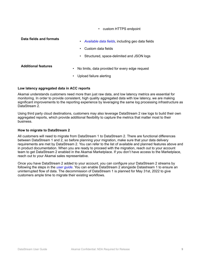• custom HTTPS endpoint

#### **Data fields and formats**

- *[Available data fields](https://learn.akamai.com/en-us/webhelp/data-stream/data-stream-user-guide/GUID-C283EAF6-70B7-4390-AD27-99E37306DE2E.html)*, including geo data fields
- Custom data fields
- Structured, space-delimited and JSON logs

- **Additional features** No limits, data provided for every edge request
	- Upload failure alerting

#### **Low latency aggregated data in ACC reports**

Akamai understands customers need more than just raw data, and low latency metrics are essential for monitoring. In order to provide consistent, high quality aggregated data with low latency, we are making significant improvements to the reporting experience by leveraging the same log processing infrastructure as DataStream 2.

Using third party cloud destinations, customers may also leverage DataStream 2 raw logs to build their own aggregated reports, which provide additional flexibility to capture the metrics that matter most to their business.

#### **How to migrate to DataStream 2**

All customers will need to migrate from DataStream 1 to DataStream 2. There are functional differences between DataStream 1 and 2, so before planning your migration, make sure that your data delivery requirements are met by DataStream 2. You can refer to the list of available and planned features above and in product documentation. When you are ready to proceed with the migration, reach out to your account team to get DataStream 2 enabled in the Akamai Marketplace. If you don't have access to the Marketplace, reach out to your Akamai sales representative.

Once you have DataStream 2 added to your account, you can configure your DataStream 2 streams by following the steps in the *[user guide](https://learn.akamai.com/en-us/webhelp/data-stream/data-stream-user-guide/GUID-3E70B66C-FFC8-4290-8349-0EC735C59458.html)*. You can enable DataStream 2 alongside Datastream 1 to ensure an uninterrupted flow of data. The decommission of DataStream 1 is planned for May 31st, 2022 to give customers ample time to migrate their existing workflows.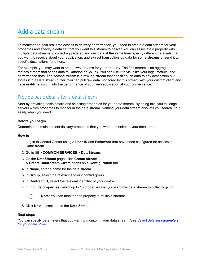## <span id="page-11-0"></span>Add a data stream

To monitor and gain real-time access to delivery performance, you need to create a data stream for your properties and specify a data set that you want this stream to deliver. You can associate a property with multiple data streams to collect aggregated and raw data at the same time, specify different data sets that you want to receive about your application, and extract transaction log data for some streams or send it to specific destinations for others.

For example, you may want to create two streams for your property. The first stream is an aggregated metrics stream that sends data to Datadog or Splunk. You can use it to visualize your logs, metrics, and performance data. The second stream is a raw log stream that doesn't push data to any destination but stores it in a DataStream buffer. You can pull raw data monitored by this stream with your custom client and have real-time insight into the performance of your web application at your convenience.

## Provide basic details for a data stream

Start by providing basic details and selecting properties for your data stream. By doing this, you tell edge servers which properties to monitor in the data stream. Naming your data stream also lets you search it out easily when you need it.

#### **Before you begin**

Determine the main content delivery properties that you want to monitor in your data stream.

#### **How to**

- 1. Log in to Control Center using a **User ID** and **Password** that have been configured for access to DataStream.
- 2. Go to > **COMMON SERVICES** > **DataStream**.
- 3. On the **DataStream** page, click **Create stream**. A **Create DataStream** wizard opens on a **Configuration** tab.
- 4. In **Name**, enter a name for the data stream.
- 5. In **Group**, select the relevant account control group.
- 6. In **Contract ID**, select the relevant identifier of your contract.
- 7. In **Include properties**, select up to 15 properties that you want this data stream to collect logs for.



**Note:** You can monitor one property in multiple streams.

8. Click **Next** to continue to the **Data Sets** tab.

#### **Next steps**

You can specify parameters that you want to monitor in your data stream. See *[Select data set parameters](#page-12-0) [for your data stream](#page-12-0)*.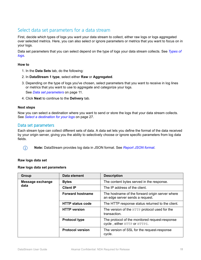## <span id="page-12-0"></span>Select data set parameters for a data stream

First, decide which types of logs you want your data stream to collect, either raw logs or logs aggregated over selected metrics. Here, you can also select or ignore parameters or metrics that you want to focus on in your logs.

Data set parameters that you can select depend on the type of logs your data stream collects. See *[Types of](#page-7-0) [logs](#page-7-0)*.

#### **How to**

- 1. In the **Data Sets** tab, do the following:
- 2. In **DataStream 1 type**, select either **Raw** or **Aggregated**.
- 3. Depending on the type of logs you've chosen, select parameters that you want to receive in log lines or metrics that you want to use to aggregate and categorize your logs. See *Data set parameters* on page 11.

4. Click **Next** to continue to the **Delivery** tab.

#### **Next steps**

 $\bigcap$ 

Now you can select a destination where you want to send or store the logs that your data stream collects. See *[Select a destination for your logs](#page-28-0)* on page 27.

#### Data set parameters

Each stream type can collect different sets of data. A data set lets you define the format of the data received by your origin server, giving you the ability to selectively choose or ignore specific parameters from log data fields.

**Note:** DataStream provides log data in JSON format. See *[Report JSON format](https://developer.akamai.com/api/web_performance/datastream/v1.html#report)*.

#### **Raw logs data set**

#### **Raw logs data set parameters**

| Group                    | Data element            | <b>Description</b>                                                                 |
|--------------------------|-------------------------|------------------------------------------------------------------------------------|
| Message exchange<br>data | <b>Bytes</b>            | The content bytes served in the response.                                          |
|                          | <b>Client IP</b>        | The IP address of the client.                                                      |
|                          | <b>Forward hostname</b> | The hostname of the forward origin server where<br>an edge server sends a request. |
|                          | <b>HTTP status code</b> | The HTTP response status returned to the client.                                   |
|                          | <b>HTTP</b> version     | The version of the HTTP protocol used for the<br>transaction.                      |
|                          | <b>Protocol type</b>    | The protocol of the monitored request-response<br>cycle, either HTTP or HTTPS.     |
|                          | <b>Protocol version</b> | The version of SSL for the request-response<br>cycle.                              |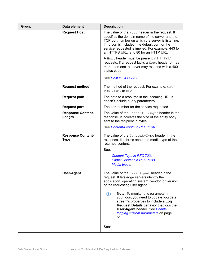| Group | Data element                            | <b>Description</b>                                                                                                                                                                                                                                                                                         |
|-------|-----------------------------------------|------------------------------------------------------------------------------------------------------------------------------------------------------------------------------------------------------------------------------------------------------------------------------------------------------------|
|       | <b>Request Host</b>                     | The value of the Host header in the request. It<br>specifies the domain name of the server and the<br>TCP port number on which the server is listening.<br>If no port is included, the default port for the<br>service requested is implied. For example, 443 for<br>an HTTPS URL, and 80 for an HTTP URL. |
|       |                                         | A Host header must be present in HTTP/1.1<br>requests. If a request lacks a Host header or has<br>more than one, a server may respond with a 400<br>status code.<br>See Host in RFC 7230.                                                                                                                  |
|       |                                         |                                                                                                                                                                                                                                                                                                            |
|       | <b>Request method</b>                   | The method of the request. For example, $GET$ ,<br>POST, PUT, OT HEAD.                                                                                                                                                                                                                                     |
|       | <b>Request path</b>                     | The path to a resource in the incoming URI. It<br>doesn't include query parameters.                                                                                                                                                                                                                        |
|       | <b>Request port</b>                     | The port number for the service requested.                                                                                                                                                                                                                                                                 |
|       | <b>Response Content-</b><br>Length      | The value of the Content-Length header in the<br>response. It indicates the size of the entity body<br>sent to the recipient in bytes.                                                                                                                                                                     |
|       |                                         | See Content-Length in RFC 7230.                                                                                                                                                                                                                                                                            |
|       | <b>Response Content-</b><br><b>Type</b> | The value of the $Content-Type$ header in the<br>response. It informs about the media type of the<br>returned content.                                                                                                                                                                                     |
|       |                                         | See:                                                                                                                                                                                                                                                                                                       |
|       |                                         | Content-Type in RFC 7231.<br><b>Partial Content in RFC 7233.</b>                                                                                                                                                                                                                                           |
|       |                                         | Media types.                                                                                                                                                                                                                                                                                               |
|       | <b>User-Agent</b>                       | The value of the User-Agent header in the<br>request. It lets edge servers identify the<br>application, operating system, vendor, or version<br>of the requesting user agent.                                                                                                                              |
|       |                                         | <b>Note:</b> To monitor this parameter in<br>(i)<br>your logs, you need to update you data<br>stream's properties to include a Log<br><b>Request Details behavior that logs the</b><br><b>User-Agent header. See Enable</b><br>logging custom parameters on page<br>51.                                    |
|       |                                         | See:                                                                                                                                                                                                                                                                                                       |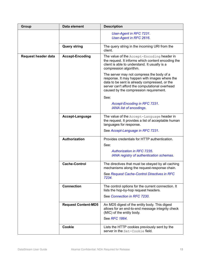| Group                      | Data element               | <b>Description</b>                                                                                                                                                                                                                      |
|----------------------------|----------------------------|-----------------------------------------------------------------------------------------------------------------------------------------------------------------------------------------------------------------------------------------|
|                            |                            | User-Agent in RFC 7231.<br>User-Agent in RFC 2616.                                                                                                                                                                                      |
|                            | <b>Query string</b>        | The query string in the incoming URI from the<br>client.                                                                                                                                                                                |
| <b>Request header data</b> | <b>Accept-Encoding</b>     | The value of the Accept-Encoding header in<br>the request. It informs which content encoding the<br>client is able to understand. It usually is a<br>compression algorithm.                                                             |
|                            |                            | The server may not compress the body of a<br>response. It may happen with images where the<br>data to be sent is already compressed, or the<br>server can't afford the computational overhead<br>caused by the compression requirement. |
|                            |                            | See:                                                                                                                                                                                                                                    |
|                            |                            | <b>Accept-Encoding in RFC 7231.</b><br><b>IANA list of encodings.</b>                                                                                                                                                                   |
|                            | Accept-Language            | The value of the Accept-Language header in<br>the request. It provides a list of acceptable human<br>languages for response.                                                                                                            |
|                            |                            | See Accept-Language in RFC 7231.                                                                                                                                                                                                        |
|                            | <b>Authorization</b>       | Provides credentials for HTTP authentication.<br>See:                                                                                                                                                                                   |
|                            |                            | <b>Authorization in RFC 7235.</b>                                                                                                                                                                                                       |
|                            |                            | IANA registry of authentication schemas.                                                                                                                                                                                                |
|                            | <b>Cache-Control</b>       | The directives that must be obeyed by all caching<br>mechanisms along the request-response chain.                                                                                                                                       |
|                            |                            | See Request Cache-Control Directives in RFC<br>7234.                                                                                                                                                                                    |
|                            | <b>Connection</b>          | The control options for the current connection. It<br>lists the hop-by-hop request headers.                                                                                                                                             |
|                            |                            | See Connection in RFC 7230.                                                                                                                                                                                                             |
|                            | <b>Request Content-MD5</b> | An MD5 digest of the entity body. This digest<br>allows for an end-to-end message integrity check<br>(MIC) of the entity body.                                                                                                          |
|                            |                            | See RFC 1864.                                                                                                                                                                                                                           |
|                            | <b>Cookie</b>              | Lists the HTTP cookies previously sent by the<br>server in the Set-Cookie field.                                                                                                                                                        |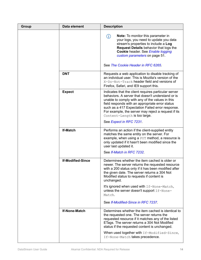| Group | Data element             | <b>Description</b>                                                                                                                                                                                                                                                                                                                                                                    |
|-------|--------------------------|---------------------------------------------------------------------------------------------------------------------------------------------------------------------------------------------------------------------------------------------------------------------------------------------------------------------------------------------------------------------------------------|
|       |                          | Note: To monitor this parameter in<br>(i)<br>your logs, you need to update you data<br>stream's properties to include a Log<br><b>Request Details behavior that logs the</b><br>Cookie header. See Enable logging<br>custom parameters on page 51.                                                                                                                                    |
|       |                          | See The Cookie Header in RFC 6265.                                                                                                                                                                                                                                                                                                                                                    |
|       | <b>DNT</b>               | Requests a web application to disable tracking of<br>an individual user. This is Mozilla's version of the<br>X-Do-Not-Track header field and versions of<br>Firefox, Safari, and IE9 support this.                                                                                                                                                                                    |
|       | <b>Expect</b>            | Indicates that the client requires particular server<br>behaviors. A server that doesn't understand or is<br>unable to comply with any of the values in this<br>field responds with an appropriate error status<br>such as a 417 Expectation Failed error response.<br>For example, the server may reject a request if its<br>Content-Length is too large.<br>See Expect in RFC 7231. |
|       |                          |                                                                                                                                                                                                                                                                                                                                                                                       |
|       | <b>If-Match</b>          | Performs an action if the client-supplied entity<br>matches the same entity on the server. For<br>example, when using a PUT method, a resource is<br>only updated if it hasn't been modified since the<br>user last updated it.                                                                                                                                                       |
|       |                          | See If-Match in RFC 7232.                                                                                                                                                                                                                                                                                                                                                             |
|       | <b>If-Modified-Since</b> | Determines whether the item cached is older or<br>newer. The server returns the requested resource<br>with a 200 status only if it has been modified after<br>the given date. The server returns a 304 Not<br>Modified status to requests if content is<br>unchanged.                                                                                                                 |
|       |                          | It's ignored when used with If-None-Match,<br>unless the server doesn't support If-None-<br>Match.                                                                                                                                                                                                                                                                                    |
|       |                          | See If-Modified-Since in RFC 7237.                                                                                                                                                                                                                                                                                                                                                    |
|       | <b>If-None-Match</b>     | Determines whether the item cached is identical to<br>the requested one. The server returns the<br>requested resource if it matches any of the listed<br>ETags. The server returns a 304 Not Modified<br>status if the requested content is unchanged.<br>When used together with If-Modified-Since,<br>If-None-Match takes precedence.                                               |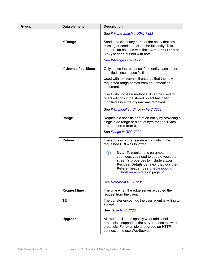| Group | Data element               | <b>Description</b>                                                                                                                                                                                                                                 |
|-------|----------------------------|----------------------------------------------------------------------------------------------------------------------------------------------------------------------------------------------------------------------------------------------------|
|       |                            | See If-None-Match in RFC 7323                                                                                                                                                                                                                      |
|       | <b>If-Range</b>            | Sends the client any parts of the entity that are<br>missing or sends the client the full entity. This<br>header can be used with the Last-Modified or<br>ETag header, but not with both.                                                          |
|       |                            | See If-Range in RFC 7233.                                                                                                                                                                                                                          |
|       | <b>If-Unmodified-Since</b> | Only sends the response if the entity hasn't been<br>modified since a specific time.                                                                                                                                                               |
|       |                            | Used with If-Range, it ensures that the new<br>requested range comes from an unmodified<br>document.                                                                                                                                               |
|       |                            | Used with non-safe methods, it can be used to<br>reject editions if the stored object has been<br>modified since the original was retrieved.                                                                                                       |
|       |                            | See If-Unmodified-Since in RFC 7232.                                                                                                                                                                                                               |
|       | Range                      | Requests a specific part of an entity by providing a<br>single byte range or a set of byte ranges. Bytes<br>are numbered from 0.                                                                                                                   |
|       |                            | See Range in RFC 7233.                                                                                                                                                                                                                             |
|       | <b>Referer</b>             | The address of the resource from which the<br>requested URI was followed.                                                                                                                                                                          |
|       |                            | Note: To monitor this parameter in<br>(i)<br>your logs, you need to update you data<br>stream's properties to include a Log<br><b>Request Details behavior that logs the</b><br>Referer header. See Enable logging<br>custom parameters on page 51 |
|       |                            | See Referer in RFC 7231.                                                                                                                                                                                                                           |
|       | <b>Request time</b>        | The time when the edge server accepted the<br>request from the client.                                                                                                                                                                             |
|       | <b>TE</b>                  | The transfer encodings the user agent is willing to<br>accept.                                                                                                                                                                                     |
|       |                            | See TE in RFC 7230.                                                                                                                                                                                                                                |
|       | Upgrade                    | Allows the client to specify what additional<br>protocols it supports if the server needs to switch<br>protocols. For example to upgrade an HTTP<br>connection to use WebSocket.                                                                   |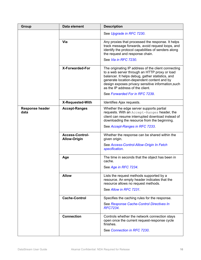| Group                          | Data element                                  | <b>Description</b>                                                                                                                                                                                                                                                                               |
|--------------------------------|-----------------------------------------------|--------------------------------------------------------------------------------------------------------------------------------------------------------------------------------------------------------------------------------------------------------------------------------------------------|
|                                |                                               | See Upgrade in RFC 7230.                                                                                                                                                                                                                                                                         |
|                                | Via                                           | Any proxies that processed the response. It helps<br>track message forwards, avoid request loops, and<br>identify the protocol capabilities of senders along<br>the request and response chain.                                                                                                  |
|                                |                                               | See Via in RFC 7230.                                                                                                                                                                                                                                                                             |
|                                | <b>X-Forwarded-For</b>                        | The originating IP address of the client connecting<br>to a web server through an HTTP proxy or load<br>balancer. It helps debug, gather statistics, and<br>generate location-dependent content and by<br>design exposes privacy sensitive information, such<br>as the IP address of the client. |
|                                |                                               | See Forwarded For in RFC 7239.                                                                                                                                                                                                                                                                   |
|                                | <b>X-Requested-With</b>                       | Identifies Ajax requests.                                                                                                                                                                                                                                                                        |
| <b>Response header</b><br>data | <b>Accept-Ranges</b>                          | Whether the edge server supports partial<br>requests. With an Accept-Ranges header, the<br>client can resume interrupted download instead of<br>downloading the resource from the beginning.                                                                                                     |
|                                |                                               | See Accept-Ranges in RFC 7233.                                                                                                                                                                                                                                                                   |
|                                | <b>Access-Control-</b><br><b>Allow-Origin</b> | Whether the response can be shared within the<br>given origin.                                                                                                                                                                                                                                   |
|                                |                                               | See Access-Control-Allow-Origin In Fetch<br>specification.                                                                                                                                                                                                                                       |
|                                | Age                                           | The time in seconds that the object has been in<br>cache.                                                                                                                                                                                                                                        |
|                                |                                               | See Age in RFC 7234.                                                                                                                                                                                                                                                                             |
|                                | <b>Allow</b>                                  | Lists the request methods supported by a<br>resource. An empty header indicates that the<br>resource allows no request methods.                                                                                                                                                                  |
|                                |                                               | See Allow in RFC 7231.                                                                                                                                                                                                                                                                           |
|                                | <b>Cache-Control</b>                          | Specifies the caching rules for the response.                                                                                                                                                                                                                                                    |
|                                |                                               | See Response Cache-Control Directives In<br><b>RFC7234</b>                                                                                                                                                                                                                                       |
|                                | <b>Connection</b>                             | Controls whether the network connection stays<br>open once the current request-response cycle<br>finishes.                                                                                                                                                                                       |
|                                |                                               | See Connection in RFC 7230.                                                                                                                                                                                                                                                                      |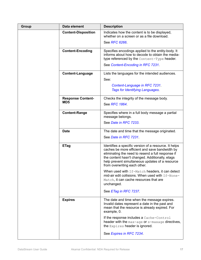| Group | Data element               | <b>Description</b>                                                                                                                                                                                                                                                                                 |
|-------|----------------------------|----------------------------------------------------------------------------------------------------------------------------------------------------------------------------------------------------------------------------------------------------------------------------------------------------|
|       | <b>Content-Disposition</b> | Indicates how the content is to be displayed,<br>whether on a screen or as a file download.                                                                                                                                                                                                        |
|       |                            | See RFC 6266.                                                                                                                                                                                                                                                                                      |
|       | <b>Content-Encoding</b>    | Specifies encodings applied to the entity-body. It<br>informs about how to decode to obtain the media-<br>type referenced by the Content-Type header.                                                                                                                                              |
|       |                            | See Content-Encoding in RFC 7231.                                                                                                                                                                                                                                                                  |
|       | <b>Content-Language</b>    | Lists the languages for the intended audiences.<br>See:                                                                                                                                                                                                                                            |
|       |                            |                                                                                                                                                                                                                                                                                                    |
|       |                            | Content-Language in RFC 7231.<br><b>Tags for Identifying Languages.</b>                                                                                                                                                                                                                            |
|       |                            |                                                                                                                                                                                                                                                                                                    |
|       | <b>Response Content-</b>   | Checks the integrity of the message body.                                                                                                                                                                                                                                                          |
|       | MD <sub>5</sub>            | See RFC 1864.                                                                                                                                                                                                                                                                                      |
|       | <b>Content-Range</b>       | Specifies where in a full body message a partial<br>message belongs.                                                                                                                                                                                                                               |
|       |                            | See Date in RFC 7233.                                                                                                                                                                                                                                                                              |
|       | <b>Date</b>                | The date and time that the message originated.                                                                                                                                                                                                                                                     |
|       |                            | See Date in RFC 7231.                                                                                                                                                                                                                                                                              |
|       | <b>ETag</b>                | Identifies a specific version of a resource. It helps<br>caches be more efficient and save bandwidth by<br>eliminating the need to resend a full response if<br>the content hasn't changed. Additionally, etags<br>help prevent simultaneous updates of a resource<br>from overwriting each other. |
|       |                            | When used with If-Match headers, it can detect<br>mid-air edit collisions. When used with If-None-<br>Match, it can cache resources that are<br>unchanged.                                                                                                                                         |
|       |                            | See ETag in RFC 7237.                                                                                                                                                                                                                                                                              |
|       | <b>Expires</b>             | The date and time when the message expires.<br>Invalid dates represent a date in the past and<br>mean that the resource is already expired. For<br>example, 0.                                                                                                                                     |
|       |                            | If the response includes a Cache-Control<br>header with the max-age or s-maxage directives,<br>the Expires header is ignored.                                                                                                                                                                      |
|       |                            | See Expires in RFC 7234.                                                                                                                                                                                                                                                                           |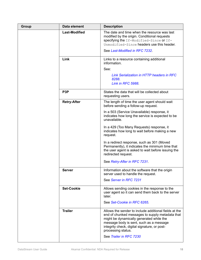| Group | Data element         | <b>Description</b>                                                                                                                                                                                                                                                                               |
|-------|----------------------|--------------------------------------------------------------------------------------------------------------------------------------------------------------------------------------------------------------------------------------------------------------------------------------------------|
|       | <b>Last-Modified</b> | The date and time when the resource was last<br>modified by the origin. Conditional requests<br>specifying the If-Modified-Since or If-<br>Unmodified-Since headers use this header.                                                                                                             |
|       |                      | See Last-Modified in RFC 7232.                                                                                                                                                                                                                                                                   |
|       | Link                 | Links to a resource containing additional<br>information.                                                                                                                                                                                                                                        |
|       |                      | See:                                                                                                                                                                                                                                                                                             |
|       |                      | <b>Link Serialization in HTTP headers in RFC</b><br>8288.<br>Link in RFC 5988.                                                                                                                                                                                                                   |
|       | P <sub>3</sub> P     | States the data that will be collected about<br>requesting users.                                                                                                                                                                                                                                |
|       | <b>Retry-After</b>   | The length of time the user agent should wait<br>before sending a follow-up request.                                                                                                                                                                                                             |
|       |                      | In a 503 (Service Unavailable) response, it<br>indicates how long the service is expected to be<br>unavailable.                                                                                                                                                                                  |
|       |                      | In a 429 (Too Many Requests) response, it<br>indicates how long to wait before making a new<br>request.                                                                                                                                                                                          |
|       |                      | In a redirect response, such as 301 (Moved<br>Permanently), it indicates the minimum time that<br>the user agent is asked to wait before issuing the<br>redirected request.                                                                                                                      |
|       |                      | See Retry-After in RFC 7231.                                                                                                                                                                                                                                                                     |
|       | <b>Server</b>        | Information about the software that the origin<br>server used to handle the request.                                                                                                                                                                                                             |
|       |                      | See Server in RFC 7231                                                                                                                                                                                                                                                                           |
|       | <b>Set-Cookie</b>    | Allows sending cookies in the response to the<br>user agent so it can send them back to the server<br>later.                                                                                                                                                                                     |
|       |                      | See Set-Cookie in RFC 6265.                                                                                                                                                                                                                                                                      |
|       | <b>Trailer</b>       | Allows the sender to include additional fields at the<br>end of chunked messages to supply metadata that<br>might be dynamically generated while the<br>message body is sent, such as a message<br>integrity check, digital signature, or post-<br>processing status.<br>See Trailer in RFC 7230 |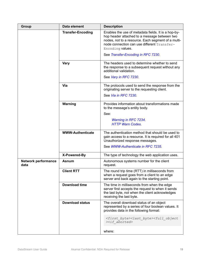| Group                              | Data element             | <b>Description</b>                                                                                                                                                                                                           |
|------------------------------------|--------------------------|------------------------------------------------------------------------------------------------------------------------------------------------------------------------------------------------------------------------------|
|                                    | <b>Transfer-Encoding</b> | Enables the use of metadata fields. It is a hop-by-<br>hop header attached to a message between two<br>nodes, not to a resource. Each segment of a multi-<br>node connection can use different Transfer-<br>Encoding values. |
|                                    |                          | See Transfer-Encoding in RFC 7230.                                                                                                                                                                                           |
|                                    | <b>Vary</b>              | The headers used to determine whether to send<br>the response to a subsequent request without any<br>additional validation.                                                                                                  |
|                                    |                          | See Vary in RFC 7230.                                                                                                                                                                                                        |
|                                    | Via                      | The protocols used to send the response from the<br>originating server to the requesting client.                                                                                                                             |
|                                    |                          | See Via in RFC 7230.                                                                                                                                                                                                         |
|                                    | Warning                  | Provides information about transformations made<br>to the message's entity body.                                                                                                                                             |
|                                    |                          | See:                                                                                                                                                                                                                         |
|                                    |                          | <b>Warning in RFC 7234.</b><br><b>HTTP Warn Codes.</b>                                                                                                                                                                       |
|                                    |                          |                                                                                                                                                                                                                              |
|                                    | <b>WWW-Authenticate</b>  | The authentication method that should be used to<br>gain access to a resource. It is required for all 401<br>Unauthorized response messages.                                                                                 |
|                                    |                          | See WWW-Authenticate in RFC 7235.                                                                                                                                                                                            |
|                                    | X-Powered-By             | The type of technology the web application uses.                                                                                                                                                                             |
| <b>Network performance</b><br>data | <b>Asnum</b>             | Autonomous systems number for the client<br>request.                                                                                                                                                                         |
|                                    | <b>Client RTT</b>        | The round trip time (RTT) in milliseconds from<br>when a request goes from a client to an edge<br>server and back again to the starting point.                                                                               |
|                                    | <b>Download time</b>     | The time in milliseconds from when the edge<br>server first accepts the request to when it sends<br>the last byte, not when the client acknowledges<br>receiving the last byte.                                              |
|                                    | <b>Download status</b>   | The overall download status of an object<br>represented by a series of four boolean values. It<br>provides data in the following format:                                                                                     |
|                                    |                          | <first byte=""><last byte=""><full object<br="">&gt;<if aborted=""></if></full></last></first>                                                                                                                               |
|                                    |                          | where:                                                                                                                                                                                                                       |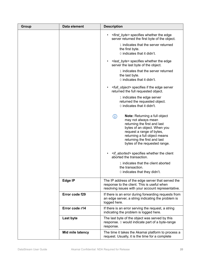| Group | Data element     | <b>Description</b>                                                                                                                                                                                                                                                |
|-------|------------------|-------------------------------------------------------------------------------------------------------------------------------------------------------------------------------------------------------------------------------------------------------------------|
|       |                  | <first_byte> specifies whether the edge<br/><math display="inline">\bullet</math><br/>server returned the first byte of the object.</first_byte>                                                                                                                  |
|       |                  | 1 indicates that the server returned<br>the first byte.<br>0 indicates that it didn't.                                                                                                                                                                            |
|       |                  | <last_byte> specifies whether the edge<br/>server the last byte of the object.</last_byte>                                                                                                                                                                        |
|       |                  | 1 indicates that the server returned<br>the last byte.<br>0 indicates that it didn't.                                                                                                                                                                             |
|       |                  | <full_object> specifies if the edge server<br/>returned the full requested object.</full_object>                                                                                                                                                                  |
|       |                  | 1 indicates the edge server<br>returned the requested object.<br>0 indicates that it didn't.                                                                                                                                                                      |
|       |                  | <b>Note:</b> Returning a full object<br>(i)<br>may not always mean<br>returning the first and last<br>bytes of an object. When you<br>request a range of bytes,<br>returning a full object means<br>returning the first and last<br>bytes of the requested range. |
|       |                  | <if_aborted> specifies whether the client<br/>aborted the transaction.</if_aborted>                                                                                                                                                                               |
|       |                  | 1 indicates that the client aborted<br>the transaction.<br>0 indicates that they didn't.                                                                                                                                                                          |
|       | Edge IP          | The IP address of the edge server that served the<br>response to the client. This is useful when<br>resolving issues with your account representative.                                                                                                            |
|       | Error code f29   | If there is an error during forwarding requests from<br>an edge server, a string indicating the problem is<br>logged here.                                                                                                                                        |
|       | Error code r14   | If there is an error serving the request, a string<br>indicating the problem is logged here.                                                                                                                                                                      |
|       | <b>Last byte</b> | The last byte of the object was served by this<br>response. 0 would indicate part of a byte-range<br>response.                                                                                                                                                    |
|       | Mid mile latency | The time it takes the Akamai platform to process a<br>request. Usually, it is the time for a complete                                                                                                                                                             |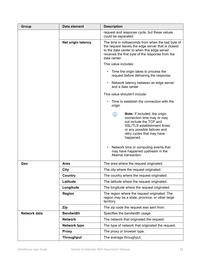| Group        | Data element              | <b>Description</b>                                                                                                                                                                                                           |
|--------------|---------------------------|------------------------------------------------------------------------------------------------------------------------------------------------------------------------------------------------------------------------------|
|              |                           | request and response cycle, but these values<br>could be separated.                                                                                                                                                          |
|              | <b>Net origin latency</b> | The time in milliseconds from when the last byte of<br>the request leaves the edge server that is closest<br>to the data center to when this edge server<br>receives the first byte of the response from the<br>data center. |
|              |                           | This value includes:                                                                                                                                                                                                         |
|              |                           | Time the origin takes to process the<br>$\bullet$<br>request before delivering the response                                                                                                                                  |
|              |                           | Network latency between an edge server<br>$\bullet$<br>and a data center                                                                                                                                                     |
|              |                           | This value shouldn't include:                                                                                                                                                                                                |
|              |                           | Time to establish the connection with the<br>$\bullet$<br>origin                                                                                                                                                             |
|              |                           | (j)<br><b>Note:</b> If included, the origin<br>connection time may or may<br>not include the TCP and<br><b>SSL/TLS establishment times</b><br>or any possible failover and<br>retry cycles that may have<br>happened.        |
|              |                           | Network time or computing events that<br>$\bullet$<br>may have happened upstream in the<br>Akamai transaction                                                                                                                |
| Geo          | Area                      | The area where the request originated.                                                                                                                                                                                       |
|              | City                      | The city where the request originated.                                                                                                                                                                                       |
|              | Country                   | The country where the request originated.                                                                                                                                                                                    |
|              | Latitude                  | The latitude where the request originated.                                                                                                                                                                                   |
|              | Longitude                 | The longitude where the request originated.                                                                                                                                                                                  |
|              | <b>Region</b>             | The region where the request originated. The<br>region may be a state, province, or other large<br>territory.                                                                                                                |
|              | Zip                       | The zip code the request was sent from.                                                                                                                                                                                      |
| Network data | <b>Bandwidth</b>          | Specifies the bandwidth usage.                                                                                                                                                                                               |
|              | <b>Network</b>            | The network that originated the request.                                                                                                                                                                                     |
|              | <b>Network type</b>       | The type of network that originated the request.                                                                                                                                                                             |
|              | <b>Proxy</b>              | The proxy or browser type.                                                                                                                                                                                                   |
|              | <b>Throughput</b>         | The average throughput.                                                                                                                                                                                                      |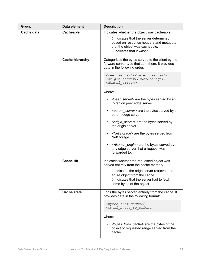| Group      | Data element           | <b>Description</b>                                                                                                                                                                                                                                      |
|------------|------------------------|---------------------------------------------------------------------------------------------------------------------------------------------------------------------------------------------------------------------------------------------------------|
| Cache data | <b>Cacheable</b>       | Indicates whether the object was cacheable.<br>1 indicates that the server determined,<br>based on response headers and metadata,<br>that the object was cacheable.<br>0 indicates that it wasn't.                                                      |
|            | <b>Cache hierarchy</b> | Categorizes the bytes served to the client by the<br>forward server type that sent them. It provides<br>data in the following order:<br><peer server="">/<parent server="">/<br/><origin server="">/<netstorage>/</netstorage></origin></parent></peer> |
|            |                        | <akamai origin=""></akamai>                                                                                                                                                                                                                             |
|            |                        | where:                                                                                                                                                                                                                                                  |
|            |                        | <peer server=""> are the bytes served by an<br/>in-region peer edge server.</peer>                                                                                                                                                                      |
|            |                        | <parent_server> are the bytes served by a<br/>٠<br/>parent edge server.</parent_server>                                                                                                                                                                 |
|            |                        | <origin_server> are the bytes served by<br/>٠<br/>the origin server.</origin_server>                                                                                                                                                                    |
|            |                        | <netstorage> are the bytes served from<br/>٠<br/>NetStorage.</netstorage>                                                                                                                                                                               |
|            |                        | <akamai_origin> are the bytes served by<br/><math display="inline">\bullet</math><br/>any edge server that a request was<br/>forwarded to.</akamai_origin>                                                                                              |
|            | <b>Cache Hit</b>       | Indicates whether the requested object was<br>served entirely from the cache memory.                                                                                                                                                                    |
|            |                        | 1 indicates the edge server retrieved the<br>entire object from the cache.<br>0 indicates that the server had to fetch<br>some bytes of the object.                                                                                                     |
|            | <b>Cache stats</b>     | Logs the bytes served entirely from the cache. It<br>provides data in the following format:                                                                                                                                                             |
|            |                        | <bytes cache="" from="">/<br/><total bytes="" client="" to=""></total></bytes>                                                                                                                                                                          |
|            |                        | where:                                                                                                                                                                                                                                                  |
|            |                        | <bt></bt> bytes_from_cache> are the bytes of the<br>object or requested range served from the<br>cache.                                                                                                                                                 |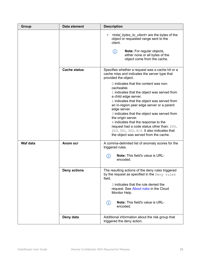| Group    | Data element        | <b>Description</b>                                                                                                                                                                                                                                                                                                                                                                                                                                                                       |
|----------|---------------------|------------------------------------------------------------------------------------------------------------------------------------------------------------------------------------------------------------------------------------------------------------------------------------------------------------------------------------------------------------------------------------------------------------------------------------------------------------------------------------------|
|          |                     | <total_bytes_to_client> are the bytes of the<br/>object or requested range sent to the<br/>client.<br/><math>\bigcirc</math><br/><b>Note:</b> For regular objects,<br/>either none or all bytes of the<br/>object come from the cache.</total_bytes_to_client>                                                                                                                                                                                                                           |
|          | <b>Cache status</b> | Specifies whether a request was a cache hit or a<br>cache miss and indicates the server type that<br>provided the object.                                                                                                                                                                                                                                                                                                                                                                |
|          |                     | 0 indicates that the content was non-<br>cacheable.<br>1 indicates that the object was served from<br>a child edge server.<br>2 indicates that the object was served from<br>an in-region peer edge server or a parent<br>edge server.<br>3 indicates that the object was served from<br>the origin server.<br>4 indicates that the response to the<br>request had a code status other than: 200,<br>203, 301, 302, 410. It also indicates that<br>the object was served from the cache. |
| Waf data | <b>Anom scr</b>     | A comma-delimited list of anomaly scores for the<br>triggered rules.<br>Note: This field's value is URL-<br>(i)<br>encoded.                                                                                                                                                                                                                                                                                                                                                              |
|          | <b>Deny actions</b> | The resulting actions of the deny rules triggered<br>by the request as specified in the Deny rules<br>field.<br>3 indicates that the rule denied the<br>request. See About rules in the Cloud<br>Monitor Help.<br><b>Note:</b> This field's value is URL-<br>(i)<br>encoded.                                                                                                                                                                                                             |
|          | Deny data           | Additional information about the risk group that<br>triggered the deny action.                                                                                                                                                                                                                                                                                                                                                                                                           |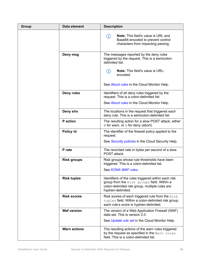| Group | Data element        | <b>Description</b>                                                                                                                                                       |
|-------|---------------------|--------------------------------------------------------------------------------------------------------------------------------------------------------------------------|
|       |                     | <b>Note:</b> This field's value is URL and<br>(i)<br>Base64-encoded to prevent control<br>characters from impacting parsing.                                             |
|       | Deny msg            | The messages reported by the deny rules<br>triggered by the request. This is a semicolon-<br>delimited list.                                                             |
|       |                     | <b>Note:</b> This field's value is URL-<br>(i)<br>encoded.                                                                                                               |
|       |                     | See About rules in the Cloud Monitor Help.                                                                                                                               |
|       | Deny rules          | Identifiers of all deny rules triggered by the<br>request. This is a colon-delimited list.                                                                               |
|       |                     | See About rules in the Cloud Monitor Help.                                                                                                                               |
|       | Deny sirs           | The locations in the request that triggered each<br>deny rule. This is a semicolon-delimited list.                                                                       |
|       | P action            | The resulting action for a slow POST attack, either<br>W for warn, or A for deny (abort).                                                                                |
|       | Policy id           | The identifier of the firewall policy applied to the<br>request.                                                                                                         |
|       |                     | See Security policies in the Cloud Security Help.                                                                                                                        |
|       | P rate              | The recorded rate in bytes per second of a slow<br>POST attack.                                                                                                          |
|       | <b>Risk groups</b>  | Risk groups whose rule thresholds have been<br>triggered. This is a colon-delimited list.                                                                                |
|       |                     | See KONA WAF rules.                                                                                                                                                      |
|       | <b>Risk tuples</b>  | Identifiers of the rules triggered within each risk<br>group from the Risk groups field. Within a<br>colon-delimited risk group, multiple rules are<br>hyphen-delimited. |
|       | <b>Risk scores</b>  | Risk scores of each triggered rule from the Risk<br>tuples field. Within a colon-delimited risk group,<br>each rule's score is hyphen-delimited.                         |
|       | <b>Waf version</b>  | The version of a Web Application Firewall (WAF)<br>data set. This is version 2.0.                                                                                        |
|       |                     | See Update rule set in the Cloud Monitor Help.                                                                                                                           |
|       | <b>Warn actions</b> | The resulting actions of the warn rules triggered<br>by the request as specified in the Warn rules<br>field. This is a colon-delimited list.                             |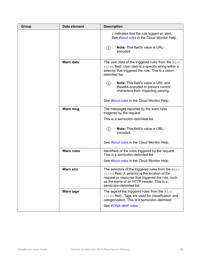| Group | Data element      | <b>Description</b>                                                                                                                                                                                                                            |
|-------|-------------------|-----------------------------------------------------------------------------------------------------------------------------------------------------------------------------------------------------------------------------------------------|
|       |                   | 2 indicates that the rule logged an alert.<br>See About rules in the Cloud Monitor Help.                                                                                                                                                      |
|       |                   | Note: This field's value is URL-<br>(i)<br>encoded.                                                                                                                                                                                           |
|       | Warn data         | The user data of the triggered rules from the Warn<br>rules field. User data is a specific string within a<br>selector that triggered the rule. This is a colon-<br>delimited list.                                                           |
|       |                   | <b>Note:</b> This field's value is URL and<br>(i)<br>Base64-encoded to prevent control<br>characters from impacting parsing.                                                                                                                  |
|       |                   | See About rules in the Cloud Monitor Help.                                                                                                                                                                                                    |
|       | Warn msg          | The messages reported by the warn rules<br>triggered by the request.                                                                                                                                                                          |
|       |                   | This is a semicolon-delimited list.                                                                                                                                                                                                           |
|       |                   | <b>Note:</b> This field's value is URL-<br>(i)<br>encoded.                                                                                                                                                                                    |
|       |                   | See About rules in the Cloud Monitor Help.                                                                                                                                                                                                    |
|       | <b>Warn rules</b> | Identifiers of the rules triggered by the request.<br>This is a semicolon-delimited list.                                                                                                                                                     |
|       |                   | See About rules in the Cloud Monitor Help.                                                                                                                                                                                                    |
|       | <b>Warn sirs</b>  | The selectors of the triggered rules from the $\texttt{Warn}$<br>rules field. A selector is the location of the<br>request or response that triggered the rule, such<br>as the name of an HTTP header. This is a<br>semicolon-delimited list. |
|       | <b>Warn tags</b>  | The tags of the triggered rules from the Warn<br>rules field. Tags are used for classification and<br>categorization. This is a semicolon-delimited                                                                                           |
|       |                   | See KONA WAF rules                                                                                                                                                                                                                            |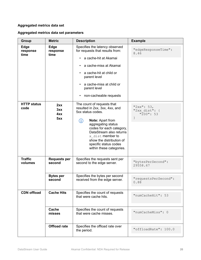#### <span id="page-27-0"></span>**Aggregated metrics data set**

#### **Aggregated metrics data set parameters**

| Group                      | <b>Metric</b>                   | <b>Description</b>                                                                                                                                                                                                                                                                             | <b>Example</b>                                       |
|----------------------------|---------------------------------|------------------------------------------------------------------------------------------------------------------------------------------------------------------------------------------------------------------------------------------------------------------------------------------------|------------------------------------------------------|
| Edge<br>response<br>time   | <b>Edge</b><br>response<br>time | Specifies the latency observed<br>for requests that results from:<br>a cache-hit at Akamai<br>$\bullet$<br>a cache-miss at Akamai<br>a cache-hit at child or<br>parent level<br>a cache-miss at child or<br>parent level<br>non-cacheable requests<br>$\bullet$                                | "edgeResponseTime":<br>8.46                          |
| <b>HTTP status</b><br>code | 2xx<br>3xx<br>4xx<br>5xx        | The count of requests that<br>resulted in 2xx, 3xx, 4xx, and<br>5xx status codes.<br>Note: Apart from<br>(i)<br>aggregating status<br>codes for each category,<br>DataStream also returns<br>x dist member to<br>show the distribution of<br>specific status codes<br>within these categories. | " $2xx$ ": 53,<br>"2xx dist": {<br>$\sqrt{200}$ : 53 |
| <b>Traffic</b><br>volumes  | <b>Requests per</b><br>second   | Specifies the requests sent per<br>second to the edge server.                                                                                                                                                                                                                                  | "bytesPerSecond":<br>29558.67                        |
|                            | <b>Bytes per</b><br>second      | Specifies the bytes per second<br>received from the edge server.                                                                                                                                                                                                                               | "requestsPerSecond":<br>0.88                         |
| <b>CDN</b> offload         | <b>Cache Hits</b>               | Specifies the count of requests<br>that were cache hits.                                                                                                                                                                                                                                       | "numCacheHit": 53                                    |
|                            | Cache<br>misses                 | Specifies the count of requests<br>that were cache misses.                                                                                                                                                                                                                                     | "numCacheMiss": 0                                    |
|                            | <b>Offload rate</b>             | Specifies the offload rate over<br>the period.                                                                                                                                                                                                                                                 | "offloadRate": 100.0                                 |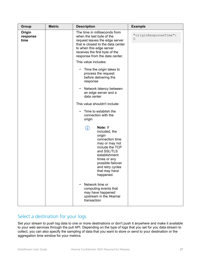<span id="page-28-0"></span>

| <b>Group</b>               | <b>Metric</b> | <b>Description</b>                                                                                                                                                                                                                 | <b>Example</b>             |
|----------------------------|---------------|------------------------------------------------------------------------------------------------------------------------------------------------------------------------------------------------------------------------------------|----------------------------|
| Origin<br>response<br>time |               | The time in milliseconds from<br>when the last byte of the<br>request leaves the edge server<br>that is closest to the data center<br>to when this edge server<br>receives the first byte of the<br>response from the data center. | "originResponseTime":<br>0 |
|                            |               | This value includes:                                                                                                                                                                                                               |                            |
|                            |               | Time the origin takes to<br>$\bullet$<br>process the request<br>before delivering the<br>response                                                                                                                                  |                            |
|                            |               | Network latency between<br>an edge server and a<br>data center                                                                                                                                                                     |                            |
|                            |               | This value shouldn't include:                                                                                                                                                                                                      |                            |
|                            |               | Time to establish the<br>$\bullet$<br>connection with the<br>origin                                                                                                                                                                |                            |
|                            |               | Note: If<br>(i)<br>included, the<br>origin<br>connection time<br>may or may not<br>include the TCP<br>and SSL/TLS<br>establishment<br>times or any<br>possible failover<br>and retry cycles<br>that may have<br>happened.          |                            |
|                            |               | Network time or<br>computing events that<br>may have happened<br>upstream in the Akamai<br>transaction                                                                                                                             |                            |

## Select a destination for your logs

Set your stream to push log data to one or more destinations or don't push it anywhere and make it available to your web services through the pull API. Depending on the type of logs that you set for you data stream to collect, you can also specify the sampling of data that you want to store or send to your destination or the aggregation time window for your metrics.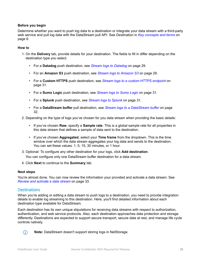#### **Before you begin**

Determine whether you want to push log data to a destination or integrate your data stream with a third-party web service and pull log data with the DataStream pull API. See *Destination* in *[Key concepts and terms](#page-7-0)* on page 6.

#### **How to**

- 1. On the **Delivery** tab, provide details for your destination. The fields to fill in differ depending on the destination type you select.
	- For a **Datadog** push destination, see *[Stream logs to Datadog](#page-30-0)* on page 29.
	- For an **Amazon S3** push destination, see *[Stream logs to Amazon S3](#page-30-0)* on page 29.
	- For a **Custom HTTPS** push destination, see *[Stream logs to a custom HTTPS endpoint](#page-32-0)* on page 31.
	- For a **Sumo Logic** push destination, see *[Stream logs to Sumo Logic](#page-32-0)* on page 31.
	- For a **Splunk** push destination, see *[Stream logs to Splunk](#page-32-0)* on page 31.
	- For a **DataStream buffer** pull destination, see *[Stream logs to a DataStream buffer](#page-33-0)* on page 32.
- 2. Depending on the type of logs you've chosen for you data stream when providing the basic details:
	- If you've chosen **Raw**, specify a **Sample rate**. This is a global sample rate for all properties in this data stream that defines a sample of data sent to the destination.
	- If you've chosen **Aggregated**, select your **Time frame** from the dropdown. This is the time window over which the data stream aggregates your log data and sends to the destination. You can set these values: 1, 5, 15, 30 minutes, or 1 hour.
- 3. Optional: To configure any other destination for your logs, click **Add destination**. You can configure only one DataStream buffer destination for a data stream.
- 4. Click **Next** to continue to the **Summary** tab.

#### **Next steps**

You're almost done. You can now review the information your provided and activate a data stream. See *[Review and activate a data stream](#page-34-0)* on page 33.

#### **Destinations**

When you're adding or editing a data stream to push logs to a destination, you need to provide integration details to enable log streaming to this destination. Here, you'll find detailed information about each destination type available for DataStream.

Each destination has its own unique stipulations for receiving data streams with respect to authorization, authentication, and web service protocols. Also, each destination approaches data protection and storage differently. Destinations are expected to support secure transport, secure data at rest, and manage life cycle controls natively.



**Note:** DataStream doesn't support storing logs in NetStorage.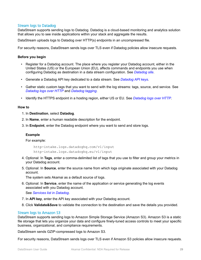#### <span id="page-30-0"></span>Stream logs to Datadog

DataStream supports sending logs to Datadog. Datadog is a cloud-based monitoring and analytics solution that allows you to see inside applications within your stack and aggregate the results.

DataStream uploads logs to Datadog over HTTP(s) endpoints in an uncompressed file.

For security reasons, DataStream sends logs over TLS even if Datadog policies allow insecure requests.

#### **Before you begin**

- Register for a Datadog account. The place where you register your Datadog account, either in the United States (US) or the European Union (EU), affects commands and endpoints you use when configuring Datadog as destination in a data stream configuration. See *[Datadog site](https://www.datadoghq.com)*.
- Generate a Datadog API key dedicated to a data stream. See *[Datadog API keys](https://docs.datadoghq.com/account_management/api-app-keys/)*.
- Gather static custom tags that you want to send with the log streams: tags, source, and service. See *[Datadog logs over HTTP](https://docs.datadoghq.com/api/?lang=python#send-logs-over-http)* and *[Datadog tagging](https://docs.datadoghq.com/tagging/)*.
- Identify the HTTPS endpoint in a hosting region, either US or EU. See *[Datadog logs over HTTP](https://docs.datadoghq.com/api/?lang=python#send-logs-over-http)*.

#### **How to**

- 1. In **Destination**, select **Datadog**.
- 2. In **Name**, enter a human readable description for the endpoint.
- 3. In **Endpoint**, enter the Datadog endpoint where you want to send and store logs.

#### **Example**

#### For example:

http-intake.logs.datadoghq.com/v1/input http-intake.logs.datadoghq.eu/v1/input

- 4. Optional: In **Tags**, enter a comma-delimited list of tags that you use to filter and group your metrics in your Datadog account.
- 5. Optional: In **Source**, enter the source name from which logs originate associated with your Datadog account.

The system sets Akamai as a default source of logs.

- 6. Optional: In **Service**, enter the name of the application or service generating the log events associated with you Datadog account. See *[Services list in Datadog](https://docs.datadoghq.com/tracing/visualization/services_list/)*.
- 7. In **API key**, enter the API key associated with your Datadog account.
- 8. Click **Validate&Save** to validate the connection to the destination and save the details you provided.

#### Stream logs to Amazon S3

DataStream supports sending logs to Amazon Simple Storage Service (Amazon S3). Amazon S3 is a static file storage that lets you organize your data and configure finely-tuned access controls to meet your specific business, organizational, and compliance requirements.

DataStream sends GZIP-compressed logs to Amazon S3.

For security reasons, DataStream sends logs over TLS even if Amazon S3 policies allow insecure requests.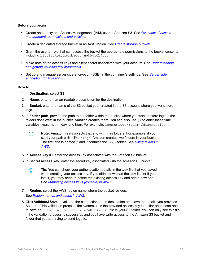#### **Before you begin**

- Create an Identity and Access Management (IAM) user in Amazon S3. See *[Overview of access](https://docs.aws.amazon.com/IAM/latest/UserGuide/introduction_access-management.html) [management: permissions and policies](https://docs.aws.amazon.com/IAM/latest/UserGuide/introduction_access-management.html)*.
- Create a dedicated storage bucket in an AWS region. See *[Create storage buckets](https://docs.aws.amazon.com/AmazonS3/latest/user-guide/create-bucket.html)*.
- Grant the user or role that can access the bucket the appropriate permissions to the bucket contents, including ListBucket, GetObject, and PutObject.
- Make note of the access keys and client secret associated with your account. See *[Understanding](https://docs.aws.amazon.com/IAM/latest/UserGuide/id_credentials_access-keys.html) [and getting your security credentials](https://docs.aws.amazon.com/IAM/latest/UserGuide/id_credentials_access-keys.html)*.
- Set up and manage server side encryption (SSE) in the container's settings. See *[Server side](https://docs.aws.amazon.com/AmazonS3/latest/dev/UsingServerSideEncryption.html) [encryption for Amazon S3](https://docs.aws.amazon.com/AmazonS3/latest/dev/UsingServerSideEncryption.html)*.

#### **How to**

- 1. In **Destination**, select **S3**.
- 2. In **Name**, enter a human-readable description for the destination.
- 3. In **Bucket**, enter the name of the S3 bucket your created in the S3 account where you want store logs.
- 4. In **Folder path**, provide the path to the folder within the bucket where you want to store logs. If the folders don't exist in the bucket, Amazon creates them. You can also use  $\{\}$  to enter these time variables: year, month, day, and hour. For example, logs or logs/{year}/diagnostics.
	- **Note:** Amazon treats objects that end with / as folders. For example, if you  $\bigcirc$ start your path with / like /logs, Amazon creates two folders in your bucket. The first one is named / and it contains the logs folder. See *[Using folders in](https://docs.aws.amazon.com/AmazonS3/latest/user-guide/using-folders.html) [AWS](https://docs.aws.amazon.com/AmazonS3/latest/user-guide/using-folders.html)*.
- 5. In **Access key ID**, enter the access key associated with the Amazon S3 bucket.
- 6. In **Secret access key**, enter the secret key associated with the Amazon S3 bucket.
	- $-\widehat{\Theta}$ -**Tip:** You can check your authentication details in the .csv file that you saved when creating your access key. If you didn't download the .csv file, or if you lost it, you may need to delete the existing access key and add a new one. See *[Managing access keys \(console\) in AWS](https://docs.aws.amazon.com/IAM/latest/UserGuide/id_credentials_access-keys.html#Using_CreateAccessKey)*.
- 7. In **Region**, select the AWS region name where the bucket resides. See *[Region names and codes in AWS](https://docs.aws.amazon.com/general/latest/gr/rande.html#region-names-codes)*.
- 8. Click **Validate&Save** to validate the connection to the destination and save the details you provided. As part of this validation process, the system uses the provided access key identifier and secret and to save an akamai write test 2147483647.txt file in your S3 folder. You can only see this file if the validation process is successful, and you have write access to the Amazon S3 bucket and folder that you are trying to send logs to.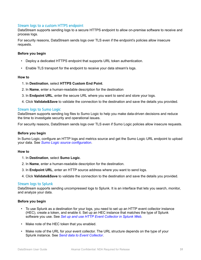#### <span id="page-32-0"></span>Stream logs to a custom HTTPS endpoint

DataStream supports sending logs to a secure HTTPS endpoint to allow on-premise software to receive and process logs.

For security reasons, DataStream sends logs over TLS even if the endpoint's policies allow insecure requests.

#### **Before you begin**

- Deploy a dedicated HTTPS endpoint that supports URL token authentication.
- Enable TLS transport for the endpoint to receive your data stream's logs.

#### **How to**

- 1. In **Destination**, select **HTTPS Custom End Point**.
- 2. In **Name**, enter a human-readable description for the destination
- 3. In **Endpoint URL**, enter the secure URL where you want to send and store your logs.
- 4. Click **Validate&Save** to validate the connection to the destination and save the details you provided.

#### Stream logs to Sumo Logic

DataStream supports sending log files to Sumo Logic to help you make data-driven decisions and reduce the time to investigate security and operational issues.

For security reasons, DataStream sends logs over TLS even if Sumo Logic policies allow insecure requests.

#### **Before you begin**

In Sumo Logic, configure an HTTP logs and metrics source and get the Sumo Logic URL endpoint to upload your data. See *[Sumo Logic source configuration](https://help.sumologic.com/03Send-Data/Sources/02Sources-for-Hosted-Collectors/HTTP-Source)*.

#### **How to**

- 1. In **Destination**, select **Sumo Logic**.
- 2. In **Name**, enter a human-readable description for the destination.
- 3. In **Endpoint URL**, enter an HTTP source address where you want to send logs.
- 4. Click **Validate&Save** to validate the connection to the destination and save the details you provided.

#### Stream logs to Splunk

DataStream supports sending uncompressed logs to Splunk. It is an interface that lets you search, monitor, and analyze your data.

#### **Before you begin**

- To use Splunk as a destination for your logs, you need to set up an HTTP event collector instance (HEC), create a token, and enable it. Set up an HEC instance that matches the type of Splunk software you use. See *[Set up and use HTTP Event Collector in Splunk Web](https://docs.splunk.com/Documentation/Splunk/8.0.3/Data/UsetheHTTPEventCollector#HEC_functionality_varies_based_on_Splunk_software_type)*.
- Make note of the HEC token that you enabled.
- Make note of the URL for your event collector. The URL structure depends on the type of your Splunk instance. See *[Send data to Event Collector](https://docs.splunk.com/Documentation/Splunk/latest/Data/UsetheHTTPEventCollector#Send_data_to_HTTP_Event_Collector)*.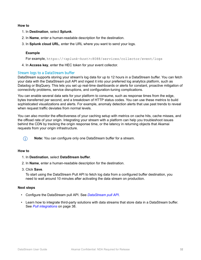#### <span id="page-33-0"></span>**How to**

- 1. In **Destination**, select **Splunk**.
- 2. In **Name**, enter a human-readable description for the destination.
- 3. In **Splunk cloud URL**, enter the URL where you want to send your logs.

#### **Example**

For example, https://*<splunk-host>*:8088/services/collector/event/logs

4. In **Access key**, enter the HEC token for your event collector.

#### Stream logs to a DataStream buffer

DataStream supports storing your stream's log data for up to 12 hours in a DataStream buffer. You can fetch your data with the DataStream pull API and ingest it into your preferred log analytics platform, such as Datadog or BiqQuery. This lets you set up real-time dashboards or alerts for constant, proactive mitigation of connectivity problems, service disruptions, and configuration-tuning complications.

You can enable several data sets for your platform to consume, such as response times from the edge, bytes transferred per second, and a breakdown of HTTP status codes. You can use these metrics to build sophisticated visualizations and alerts. For example, anomaly detection alerts that use past trends to reveal when request traffic deviates from normal levels.

You can also monitor the effectiveness of your caching setup with metrics on cache hits, cache misses, and the offload rate of your origin. Integrating your stream with a platform can help you troubleshoot issues behind the CDN by tracking the origin response time, or the latency in returning objects that Akamai requests from your origin infrastructure.



**Note:** You can configure only one DataStream buffer for a stream.

#### **How to**

- 1. In **Destination**, select **DataStream buffer**.
- 2. In **Name**, enter a human-readable description for the destination.
- 3. Click **Save**.

To start using the DataStream Pull API to fetch log data from a configured buffer destination, you need to wait around 10 minutes after activating the data stream on production.

#### **Next steps**

- Configure the DataStream pull API. See *[DataStream pull API](https://developer.akamai.com/api/web_performance/datastream/v1.html)*.
- Learn how to integrate third-party solutions with data streams that store data in a DataStream buffer. See *[Pull integrations](#page-39-0)* on page 38.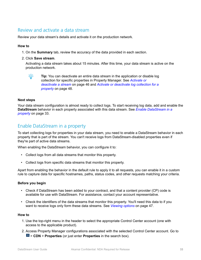## <span id="page-34-0"></span>Review and activate a data stream

Review your data stream's details and activate it on the production network.

#### **How to**

- 1. On the **Summary** tab, review the accuracy of the data provided in each section.
- 2. Click **Save stream**.

Activating a data stream takes about 15 minutes. After this time, your data stream is active on the production network.



**Tip:** You can deactivate an entire data stream in the application or disable log collection for specific properties in Property Manager. See *[Activate or](#page-47-0) [deactivate a stream](#page-47-0)* on page 46 and *[Activate or deactivate log collection for a](#page-49-0) [property](#page-49-0)* on page 48.

#### **Next steps**

Your data stream configuration is almost ready to collect logs. To start receiving log data, add and enable the **DataStream** behavior in each property associated with this data stream. See *Enable DataStream in a property* on page 33.

### Enable DataStream in a property

To start collecting logs for properties in your data stream, you need to enable a DataStream behavior in each property that is part of the stream. You can't receive logs from DataStream-disabled properties even if they're part of active data streams.

When enabling the DataStream behavior, you can configure it to:

- Collect logs from all data streams that monitor this property.
- Collect logs from specific data streams that monitor this property.

Apart from enabling the behavior in the default rule to apply it to all requests, you can enable it in a custom rule to capture data for specific hostnames, paths, status codes, and other requests matching your criteria.

#### **Before you begin**

- Check if DataStream has been added to your contract, and that a content provider (CP) code is available for use with DataStream. For assistance, contact your account representative.
- Check the identifiers of the data streams that monitor this property. You'll need this data to if you want to receive logs only form these data streams. See *[Viewing options](#page-48-0)* on page 47.

#### **How to**

- 1. Use the top-right menu in the header to select the appropriate Control Center account (one with access to the applicable product).
- 2. Access Property Manager configurations associated with the selected Control Center account. Go to > **CDN** > **Properties** (or just enter **Properties** in the search box).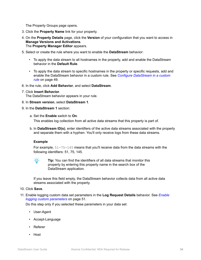The Property Groups page opens.

- 3. Click the **Property Name** link for your property.
- 4. On the **Property Details** page, click the **Version** of your configuration that you want to access in **Manage Versions and Activations**. The **Property Manager Editor** appears.
- 5. Select or create the rule where you want to enable the **DataStream** behavior:
	- To apply the data stream to all hostnames in the property, add and enable the DataStream behavior in the **Default Rule**.
	- To apply the data stream to specific hostnames in the property or specific requests, add and enable the DataStream behavior in a custom rule. See *[Configure DataStream in a custom](#page-50-0) [rule](#page-50-0)* on page 49.
- 6. In the rule, click **Add Behavior**, and select **DataStream**.
- 7. Click **Insert Behavior**.

The DataStream behavior appears in your rule.

- 8. In **Stream version**, select **DataStream 1**.
- 9. In the **DataStream 1** section:
	- a. Set the **Enable** switch to **On**.

This enables log collection from all active data streams that this property is part of.

b. In **DataStream ID(s)**, enter identifiers of the active data streams associated with the property and separate them with a hyphen. You'll only receive logs from these data streams.

#### **Example**

For example, 51-75-145 means that you'll receive data from the data streams with the following identifiers: 51, 75, 145.



**Tip:** You can find the identifiers of all data streams that monitor this property by entering this property name in the search box of the DataStream application.

If you leave this field empty, the DataStream behavior collects data from all active data streams associated with the property.

10. Click **Save**.

11. Enable logging custom data set parameters in the **Log Request Details** behavior. See *[Enable](#page-52-0) [logging custom parameters](#page-52-0)* on page 51.

Do this step only if you selected these parameters in your data set:

- User-Agent
- Accept-Language
- Referer
- Host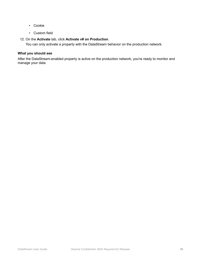- Cookie
- Custom field

#### 12. On the **Activate** tab, click **Activate v# on Production**.

You can only activate a property with the DataStream behavior on the production network.

#### **What you should see**

After the DataStream-enabled property is active on the production network, you're ready to monitor and manage your data.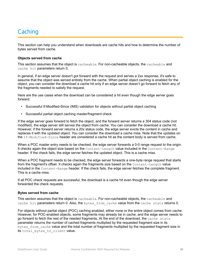## <span id="page-37-0"></span>**Caching**

This section can help you understand when downloads are cache hits and how to determine the number of bytes served from cache.

#### **Objects served from cache**

This section assumes that the object is cacheable. For non-cacheable objects, the cacheable and cache hit parameters return 0.

In general, if an edge server doesn't got forward with the request and serves a 2xx response, it's safe to assume that the object was served entirely from the cache. When partial object caching is enabled for the object, you can consider the download a cache hit only if an edge server doesn't go forward to fetch any of the fragments needed to satisfy the request.

Here are the use cases when the download can be considered a hit even though the edge server goes forward:

- Successful If-Modified-Since (IMS) validation for objects without partial object caching
- Successful partial object caching master/fragment check

If the edge server goes forward to fetch the object, and the forward server returns a 304 status code (not modified), the edge server still serves the object from cache. You can consider the download a cache hit. However, if the forward server returns a 20x status code, the edge server evicts the content in cache and replaces it with the updated object. You can consider the download a cache miss. Note that the updates on the If-Modified-Since header are considered a cache hit as the content body is served from cache.

When a POC master entry needs to be checked, the edge server forwards a 0-0 range request to the origin. It checks again the object size based on the Content-Length value included in the Content-Range header. If the check fails, the edge server fetches the updated object. This is a cache miss.

When a POC fragment needs to be checked, the edge server forwards a one-byte range request that starts from the fragment's offset. It checks again the fragments size based on the Content-Length value included in the Content-Range header. If the check fails, the edge server fetches the complete fragment. This is a cache miss.

If all POC check requests are successful, the download is a cache hit even though the edge server forwarded the check requests.

#### **Bytes served from cache**

This section assumes that the object is cacheable. For non-cacheable objects, the cacheable and cache hit parameters return 0. Also, the bytes from cache value from the cache stats returns 0.

For objects without partial object (POC) caching enabled, either none or the entire object comes from cache. However, for POC-enabled objects, some fragments may already be in cache, and the edge server needs to go forward to fetch the rest of the needed fragments. At the end of the download, the cache stats parameter returns the number of cached fragments multiplied by the requested fragment size in its bytes from cache value and the total number of fragments multiplied by the requested fragment size in its total bytes to client value.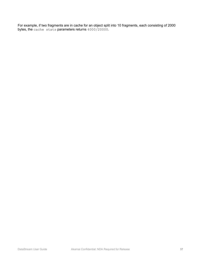For example, if two fragments are in cache for an object split into 10 fragments, each consisting of 2000 bytes, the cache stats parameters returns 4000/20000.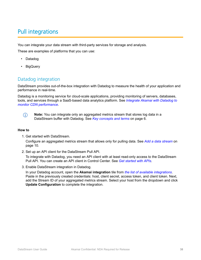## <span id="page-39-0"></span>Pull integrations

You can integrate your data stream with third-party services for storage and analysis.

These are examples of platforms that you can use:

- Datadog
- BigQuery

## Datadog integration

DataStream provides out-of-the-box integration with Datadog to measure the health of your application and performance in real-time.

Datadog is a monitoring service for cloud-scale applications, providing monitoring of servers, databases, tools, and services through a SaaS-based data analytics platform. See *[Integrate Akamai with Datadog to](https://www.datadoghq.com/blog/akamai-cdn-performance/#granular-cdn-metrics) [monitor CDN performance](https://www.datadoghq.com/blog/akamai-cdn-performance/#granular-cdn-metrics)*.



**Note:** You can integrate only an aggregated metrics stream that stores log data in a DataStream buffer with Datadog. See *[Key concepts and terms](#page-7-0)* on page 6.

#### **How to**

1. Get started with DataStream.

Configure an aggregated metrics stream that allows only for pulling data. See *[Add a data stream](#page-11-0)* on page 10.

2. Set up an API client for the DataStream Pull API.

To integrate with Datadog, you need an API client with at least read-only access to the DataStream Pull API. You can create an API client in Control Center. See *[Get started with APIs](https://developer.akamai.com/api/getting-started)*.

3. Enable DataStream integration in Datadog.

In your Datadog account, open the **Akamai integration** tile from *[the list of available integrations](https://docs.datadoghq.com/integrations/akamai_datastream/)*. Paste in the previously created credentials: host, client secret, access token, and client token. Next, add the Stream ID of your aggregated metrics stream. Select your host from the dropdown and click **Update Configuration** to complete the integration.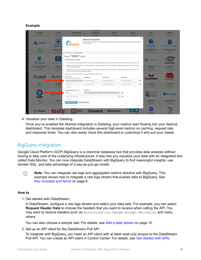#### <span id="page-40-0"></span>**Example**

| <b>ActiveMO</b>                                          | Akamal                                              | <b>Amazon Fargate</b>                                                                                                                                                           | Ambassador                                   | Ansible                                                                                                                                                                                                                                                                                                                                 | Apache                                                                                                                | Aqua                                                  | ASP NET                        |
|----------------------------------------------------------|-----------------------------------------------------|---------------------------------------------------------------------------------------------------------------------------------------------------------------------------------|----------------------------------------------|-----------------------------------------------------------------------------------------------------------------------------------------------------------------------------------------------------------------------------------------------------------------------------------------------------------------------------------------|-----------------------------------------------------------------------------------------------------------------------|-------------------------------------------------------|--------------------------------|
| of Installand                                            | w Installant                                        | <b>Villabelled</b>                                                                                                                                                              | of installant                                | at Important                                                                                                                                                                                                                                                                                                                            | winstalled                                                                                                            | <b>Witness</b>                                        | <b>Participal</b>              |
| <b>Azure</b>                                             | u Ly<br>in re<br>Microsoft Az<br><b>App Service</b> | Akamai                                                                                                                                                                          | Akamai Integration<br>for its customers.     |                                                                                                                                                                                                                                                                                                                                         | Akamai is the global leader in Content Delivery Network (CDN) services, making the Internet fast, reliable and secure | $\times$<br><b>Morrach Anze</b><br><b>Redia Cache</b> | sot<br>Microsoft Azure SQL DB  |
| <b>Azure</b>                                             | <b>Azure App Service</b>                            |                                                                                                                                                                                 |                                              |                                                                                                                                                                                                                                                                                                                                         |                                                                                                                       | <b>Azure Redit Cache</b>                              | Azure SQL Database             |
| <b>A Manufacture</b>                                     | <b>Participal</b>                                   | This integration is working properly.                                                                                                                                           |                                              |                                                                                                                                                                                                                                                                                                                                         |                                                                                                                       | whatafied                                             | Pintalind                      |
| soc<br><b>Microsoft Azure</b><br><b>SQL Electic Pool</b> | 粵<br>w<br><b>Microsoft Azure</b>                    | <b>Metrics</b><br>Overview<br>Configuration<br>Enable metrics collection                                                                                                        |                                              | 1. In the Luna Control Center, go to Configure > Organization > Manage APS and create a new client with at least "READ-ONLY" access to the "Datastream" APL                                                                                                                                                                             |                                                                                                                       | C Capistrano                                          | cassandra                      |
| <b>Azure SQL Elastic Pool</b><br><b>Winstalled</b>       | <b>Azure VM</b><br>w installed                      | Press "Update Configuration".<br>below. Do not forget to link it to the appropriate host!<br>Multiple accounts (or hosts) can be set. Each stream needs to be linked to a host. |                                              | 2. Select the newly created API in the "Users and API Clients" list. Under "Credentials", create a new Client token. Capy the given information to the form below.<br>3. Select the stream you wish to visualize (the stream list is available under Configure > Performance Analytics > DataStroam) and copy its ID to the stream list |                                                                                                                       | Capistrano<br>of Installand                           | Cassandra<br><b>Participal</b> |
| @ ceph                                                   | <b>%</b> chatwo                                     | <b>Most Example:</b><br>my host name kins akamalapis.net<br>akab-biassatti tarifidin didi                                                                                       | <b>Client Secret</b><br>-------------------- | <b>Access Token</b><br>----------------------                                                                                                                                                                                                                                                                                           | <b>Client Token</b><br>---------------------<br>۰                                                                     | <b>Couchbase</b>                                      | CouchDB                        |
| Ceph                                                     | <b>ChatWork</b>                                     | new host                                                                                                                                                                        | new client secret.                           | new access token                                                                                                                                                                                                                                                                                                                        | new client token.<br>۰                                                                                                | Couchbase                                             | CouchDB                        |
| <b>Windows</b>                                           | <b>Parktalled</b>                                   | <b>Add row</b>                                                                                                                                                                  |                                              |                                                                                                                                                                                                                                                                                                                                         |                                                                                                                       | w bushind                                             | w material                     |
|                                                          |                                                     | Stream to query Example: 123                                                                                                                                                    | Select host                                  |                                                                                                                                                                                                                                                                                                                                         |                                                                                                                       |                                                       |                                |
|                                                          | $\sqrt{2}$<br>q                                     | 1116                                                                                                                                                                            |                                              | akab-ilminilli luillilliin liittomin mittiin kuna akamalapis.r \$                                                                                                                                                                                                                                                                       |                                                                                                                       | Microsoft<br>Event                                    | <b>BB</b> Exchange             |
| CR.                                                      |                                                     | new stream to guery                                                                                                                                                             |                                              |                                                                                                                                                                                                                                                                                                                                         | $\cdot$<br>$\circ$                                                                                                    | Viewer                                                |                                |
| <b>CEI</b>                                               | <b>CRI-O</b>                                        | <b>Add row</b>                                                                                                                                                                  |                                              |                                                                                                                                                                                                                                                                                                                                         |                                                                                                                       | <b>Event Viewer</b>                                   | <b>Exchange Server</b>         |
| w matalled                                               | w Installed                                         | <b>Update Configuration</b>                                                                                                                                                     | Uninstall Integration                        |                                                                                                                                                                                                                                                                                                                                         |                                                                                                                       | of Installand                                         | of Installand                  |
| <b>ZZ Fabric</b>                                         |                                                     | <b>RSS</b>                                                                                                                                                                      | flowdock                                     | <b>OGearman</b>                                                                                                                                                                                                                                                                                                                         |                                                                                                                       | Google                                                | Google                         |

4. Visualize your data in Datadog.

Once you've enabled the Akamai integration in Datadog, your metrics start flowing into your Akamai dashboard. This template dashboard includes several high-level metrics on caching, request rate, and response times. You can also easily clone this dashboard to customize it and suit your needs.

## BigQuery integration

Google Cloud Platform (GCP) BigQuery is a columnar database tool that provides data analysis without having to take care of the underlying infrastructure. It also lets you visualize your data with an integrated tool called Data Monitor. You can now integrate DataStream with BigQuery to find meaningful insights, use familiar SQL, and take advantage of a pay-as-you-go model.

**Note:** You can integrate raw logs and aggregated metrics streams with BigQuery. This  $\bigcirc$ example shows how to integrate a raw logs stream that pushes data to BigQuery. See *[Key concepts and terms](#page-7-0)* on page 6.

#### **How to**

1. Get started with DataStream.

In DataStream, configure a raw logs stream and select your data sets. For example, you can select **Request Header Data** to choose the headers that you want to receive when calling the API. You may want to receive headers such as Authorization, Range, Accept-Encoding, and many others.

You can also choose a sample rate. For details, see *[Add a data stream](#page-11-0)* on page 10.

2. Set up an API client for the DataStream Pull API.

To integrate with BigQuery, you need an API client with at least read-only access to the DataStream Pull API. You can create an API client in Control Center. For details, see *[Get Started with APIs](https://developer.akamai.com/api/getting-started)*.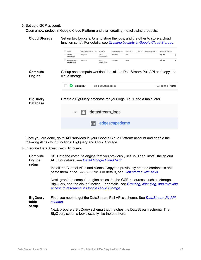#### 3. Set up a GCP account.

Open a new project in Google Cloud Platform and start creating the following products:

|                          | Name                            | Default storage class @ | Location            | Public access 2 | Labels $\oslash$<br>Lifecycle 2                                            | Retention policy @<br>Requester Pays @ |
|--------------------------|---------------------------------|-------------------------|---------------------|-----------------|----------------------------------------------------------------------------|----------------------------------------|
|                          | akamai-<br>datastream           | Regional                | ASIA-<br>SOUTHEAST1 | Per object      | None                                                                       | $\bullet$ off<br>÷                     |
|                          | akamai-script-<br>cloudfunction | Regional                | ASIA-<br>SOUTHEAST1 | Per object      | None                                                                       | $\bullet$ off<br>÷                     |
| Compute<br><b>Engine</b> | cloud storage.                  |                         |                     |                 | Set up one compute workload to call the DataStream Pull API and copy it to |                                        |
|                          | ∽                               | bigquery                | asia-southeast1-a   |                 |                                                                            | $10.148.0.6$ (nic0)                    |
|                          |                                 |                         |                     |                 |                                                                            |                                        |
| <b>BigQuery</b>          |                                 |                         |                     |                 | Create a BigQuery database for your logs. You'll add a table later.        |                                        |
| <b>Database</b>          |                                 |                         | datastream_logs     |                 |                                                                            |                                        |
|                          |                                 | 囲                       |                     | edgescapedemo   |                                                                            |                                        |

Once you are done, go to **API services** in your Google Cloud Platform account and enable the following APIs cloud functions: BigQuery and Cloud Storage.

4. Integrate DataStream with BigQuery.

| Compute<br><b>Engine</b><br>setup | SSH into the compute engine that you previously set up. Then, install the gcloud<br>API. For details, see Install Google Cloud SDK.                                                                                 |  |  |
|-----------------------------------|---------------------------------------------------------------------------------------------------------------------------------------------------------------------------------------------------------------------|--|--|
|                                   | Install the Akamai APIs and clients. Copy the previously created credentials and<br>paste them in the . edgerc file. For details, see Gett started with APIs.                                                       |  |  |
|                                   | Next, grant the compute engine access to the GCP resources, such as storage,<br>BigQuery, and the cloud function. For details, see Granting, changing, and revoking<br>access to resources in Google Cloud Storage. |  |  |
| <b>BigQuery</b><br>table          | First, you need to get the DataStream Pull API's schema. See DataStream PII API<br>schema.                                                                                                                          |  |  |
| setup                             | Next, prepare a BigQuery schema that matches the DataStream schema. The<br>BigQuery schema looks exactly like the one here.                                                                                         |  |  |
|                                   |                                                                                                                                                                                                                     |  |  |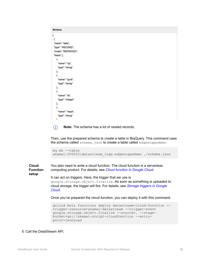| <b>Schema</b>       |  |  |
|---------------------|--|--|
| ľ,                  |  |  |
| ł                   |  |  |
| "name": "data",     |  |  |
| "type": "RECORD",   |  |  |
| "mode": "REPEATED", |  |  |
| "fields": [         |  |  |
| ₹                   |  |  |
| "name": "cp",       |  |  |
| "type": "string"    |  |  |
| },                  |  |  |
|                     |  |  |
| "name": "guid",     |  |  |
| "type": "string"    |  |  |
| },                  |  |  |
|                     |  |  |
| "name": "id",       |  |  |
| "type": "integer"   |  |  |
| },                  |  |  |
|                     |  |  |
| "name": "reqid",    |  |  |
| "type": "string"    |  |  |
| $\mathbf{r}$        |  |  |

**Note:** The schema has a lot of nested records.  $(i)$ 

Then, use the prepared schema to create a table in BiqQuery. This command uses the schema called schema.json to create a table called edgescapedemo:

```
bq mk --table 
akamai-206503:datastream_logs.edgescapedemo ./schema.json
```
**Cloud Function setup** You also need to write a cloud function. The cloud function is a serverless computing product. For details, see *[Cloud function in Google Cloud](https://cloud.google.com/functions/)*. It can act on triggers. Here, the trigger that we use is

google.storage.object.finalize. As soon as something is uploaded to cloud storage, the trigger will fire. For details, see *[Storage triggers in Google](https://cloud.google.com/functions/docs/calling/storage) [Cloud](https://cloud.google.com/functions/docs/calling/storage)*.

Once you've prepared the cloud function, you can deploy it with this command:

```
gcloud beta functions deploy datastream-cloud-function --
trigger-resource=akamai-datastream --trigger-event 
google.storage.object.finalize --source=. --stage-
bucket=gs://akamai-script-cloudfunction --entry-
point=jsonLoad
```
#### 5. Call the DataStream API.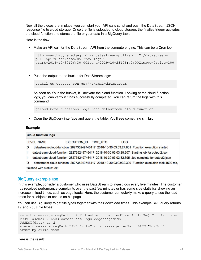Now all the pieces are in place, you can start your API calls script and push the DataStream JSON response file to cloud storage. Once the file is uploaded to cloud storage, the finalize trigger activates the cloud function and stores the file or your data in a BigQuery table.

Here is the flow:

• Make an API call for the DataStream API from the compute engine. This can be a Cron job:

```
http --auth-type edgegrid -a datastream-pull-api: ":/datastream-
pull-api/v1/streams/851/raw-logs?
start=2018-10-30T06:30:00Z&end=2019-10-23T06:40:00Z&page=0&size=100
"
```
• Push the output to the bucket for DataStream logs:

gsutil cp output.json gs://akamai-datastream

As soon as it's in the bucket, it'll activate the cloud function. Looking at the cloud function logs, you can verify if it has successfully completed. You can return the logs with this command:

gcloud beta functions logs read datastream-cloud-function

• Open the BigQuery interface and query the table. You'll see something similar:

#### **Example**

|   | <b>Cloud function logs</b>                                                                         |
|---|----------------------------------------------------------------------------------------------------|
|   | LEVEL NAME<br>EXECUTION ID<br><b>LOG</b><br><b>TIME UTC</b>                                        |
| D | datastream-cloud-function 282735249746417 2018-10-30 03:03:27.801 Function execution started       |
|   | datastream-cloud-function 282735249746417 2018-10-30 03:03:28.607 Starting job for output2.json    |
|   | datastream-cloud-function 282735249746417 2018-10-30 03:03:32.395 Job complete for output2.json    |
| D | datastream-cloud-function 282735249746417 2018-10-30 03:03:32.399 Function execution took 4599 ms, |
|   | finished with status: 'ok'                                                                         |

#### BigQuery example use

In this example, consider a customer who uses DataStream to ingest logs every five minutes. The customer has received performance complaints over the past few minutes or has some side statistics showing an increase in load times, such as page loads. Here, the customer can quickly make a query to see the load times for all objects or scripts on his page.

You can use BigQuery to get file types together with their download times. This example SQL query returns ts and m3u8 file types:

```
select d.message.reqPath, CAST(d.netPerf.downloadTime AS INT64) * 1 As dtime
FROM `akamai-206503.datastream logs.edgescapedemo` ,
UNNEST(data) as d
where d.message.reqPath LIKE "%.ts" or d.message.reqPath LIKE "%.m3u8"
order by dTime desc
```
#### Here is the result: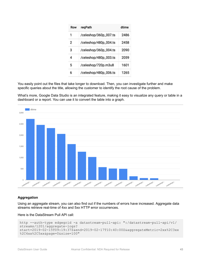| Row | regPath               | dtime |
|-----|-----------------------|-------|
| 1   | /celeshop/360p_007.ts | 2486  |
| 2   | /celeshop/480p_004.ts | 2458  |
| 3   | /celeshop/360p_004.ts | 2090  |
| 4   | /celeshop/480p_003.ts | 2059  |
| 5   | /celeshop/720p.m3u8   | 1601  |
| 6   | /celeshop/480p_006.ts | 1265  |

You easily point out the files that take longer to download. Then, you can investigate further and make specific queries about the title, allowing the customer to identify the root cause of the problem.

What's more, Google Data Studio is an integrated feature, making it easy to visualize any query or table in a dashboard or a report. You can use it to convert the table into a graph.



#### **Aggregation**

Using an aggregate stream, you can also find out if the numbers of errors have increased. Aggregate data streams retrieve real-time of 4xx and 5xx HTTP error occurrences.

Here is the DataStream Pull API call:

```
http --auth-type edgegrid -a datastream-pull-api: ":/datastream-pull-api/v1/
streams/1201/aggregate-logs?
start=2019-02-15T09:19:37Z&end=2019-02-17T10:40:00Z&aggregateMetric=2xx%2C3xx
%2C4xx%2C5xx&page=0&size=100"
```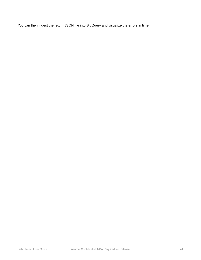You can then ingest the return JSON file into BigQuery and visualize the errors in time.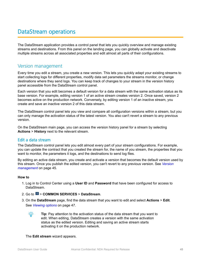## <span id="page-46-0"></span>DataStream operations

The DataStream application provides a control panel that lets you quickly overview and manage existing streams and destinations. From this panel on the landing page, you can globally activate and deactivate multiple streams across all associated properties and edit almost all parts of their configurations.

### Version management

Every time you edit a stream, you create a new version. This lets you quickly adapt your existing streams to start collecting logs for different properties, modify data set parameters the streams monitor, or change destinations where they send logs. You can keep track of changes to your stream in the version history panel accessible from the DataStream control panel.

Each version that you edit becomes a default version for a data stream with the same activation status as its base version. For example, editing version 1 of an active stream creates version 2. Once saved, version 2 becomes active on the production network. Conversely, by editing version 1 of an inactive stream, you create and save an inactive version 2 of this data stream.

The DataStream control panel lets you view and compare all configuration versions within a stream, but you can only manage the activation status of the latest version. You also can't revert a stream to any previous version.

On the DataStream main page, you can access the version history panel for a stream by selecting **Actions** > **History** next to the relevant stream.

#### Edit a data stream

The DataStream control panel lets you edit almost every part of your stream configurations. For example, you can update the contract that you created the stream for, the name of you stream, the properties that you want to monitor, the parameters it logs, and the destinations to send log files.

By editing an active data stream, you create and activate a version that becomes the default version used by this stream. Once you publish the edited version, you can't revert to any previous version. See *Version management* on page 45.

#### **How to**

- 1. Log in to Control Center using a **User ID** and **Password** that have been configured for access to DataStream.
- 2. Go to > **COMMON SERVICES** > **DataStream**.
- 3. On the **DataStream** page, find the data stream that you want to edit and select **Actions** > **Edit**. See *[Viewing options](#page-48-0)* on page 47.



**Tip:** Pay attention to the activation status of the data stream that you want to edit. When editing, DataStream creates a version with the same activation status as the edited version. Editing and saving an active stream starts activating it on the production network.

The **Edit stream** wizard appears.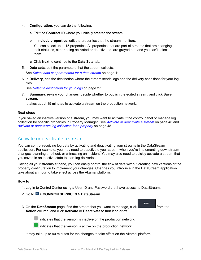- <span id="page-47-0"></span>4. In **Configuration**, you can do the following:
	- a. Edit the **Contract ID** where you initially created the stream.
	- b. In **Include properties**, edit the properties that the stream monitors.

You can select up to 15 properties. All properties that are part of streams that are changing their statuses, either being activated or deactivated, are grayed out, and you can't select them.

- c. Click **Next** to continue to the **Data Sets** tab.
- 5. In **Data sets**, edit the parameters that the stream collects.

See *[Select data set parameters for a data stream](#page-12-0)* on page 11.

6. In **Delivery**, edit the destination where the stream sends logs and the delivery conditions for your log files.

See *[Select a destination for your logs](#page-28-0)* on page 27.

7. In **Summary**, review your changes, decide whether to publish the edited stream, and click **Save stream**.

It takes about 15 minutes to activate a stream on the production network.

#### **Next steps**

If you saved an inactive version of a stream, you may want to activate it the control panel or manage log collection for specific properties in Property Manager. See *Activate or deactivate a stream* on page 46 and *[Activate or deactivate log collection for a property](#page-49-0)* on page 48.

### Activate or deactivate a stream

You can control receiving log data by activating and deactivating your streams in the DataStream application. For example, you may need to deactivate your stream when you're implementing downstream changes, planning a roll-out, or witnessing an incident. You may also need to quickly activate a stream that you saved in an inactive state to start log deliveries.

Having all your streams at hand, you can easily control the flow of data without creating new versions of the property configuration to implement your changes. Changes you introduce in the DataStream application take about an hour to take effect across the Akamai platform.

#### **How to**

- 1. Log in to Control Center using a User ID and Password that have access to DataStream.
- 2. Go to > **COMMON SERVICES** > **DataStream**.
- 3. On the **DataStream** page, find the stream that you want to manage, click **from** the **Action** column, and click **Activate** or **Deactivate** to turn it on or off.

indicates that the version is inactive on the production network.

indicates that the version is active on the production network.

It may take up to 90 minutes for the changes to take effect on the Akamai platform.

...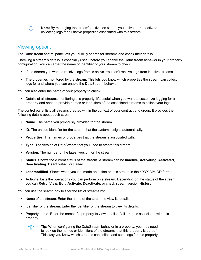<span id="page-48-0"></span> $\circ$ **Note:** By managing the stream's activation status, you activate or deactivate collecting logs for all active properties associated with this stream.

### Viewing options

The DataStream control panel lets you quickly search for streams and check their details.

Checking a stream's details is especially useful before you enable the DataStream behavior in your property configuration. You can enter the name or identifier of your stream to check:

- If the stream you want to receive logs from is active. You can't receive logs from inactive streams.
- The properties monitored by the stream. This lets you know which properties the stream can collect logs for and where you can enable the DataStream behavior.

You can also enter the name of your property to check:

• Details of all streams monitoring this property. It's useful when you want to customize logging for a property and need to provide names or identifiers of the associated streams to collect your logs.

The control panel lists all streams created within the context of your contract and group. It provides the following details about each stream:

- **Name**. The name you previously provided for the stream.
- **ID**. The unique identifier for the stream that the system assigns automatically.
- **Properties**. The names of properties that the stream is associated with.
- **Type**. The version of DataStream that you used to create this stream.
- **Version**. The number of the latest version for the stream.
- **Status**. Shows the current status of the stream. A stream can be **Inactive**, **Activating**, **Activated**, **Deactivating**, **Deactivated**, or **Failed**.
- **Last modified**. Shows when you last made an action on this stream in the YYYY-MM-DD format.
- **Actions**. Lists the operations you can perform on a stream. Depending on the status of the stream, you can **Retry**, **View**, **Edit**, **Activate**, **Deactivate**, or check stream version **History**.

You can use the search box to filter the list of streams by:

- Name of the stream. Enter the name of the stream to view its details.
- Identifier of the stream. Enter the identifier of the stream to view its details.
- Property name. Enter the name of a property to view details of all streams associated with this property.



**Tip:** When configuring the DataStream behavior in a property, you may need to look up the names or identifiers of the streams that this property is part of. This way you know which streams can collect and send logs for this property.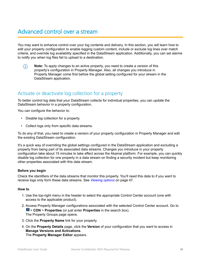## <span id="page-49-0"></span>Advanced control over a stream

You may want to enhance control over your log contents and delivery. In this section, you will learn how to edit your property configuration to enable logging custom content, include or exclude log lines over match criteria, and override log availability specified in the DataStream application. Additionally, you can set alarms to notify you when log files fail to upload to a destination.

**Note:** To apply changes to an active property, you need to create a version of this  $(i)$ property's configuration in Property Manager. Also, all changes you introduce in Property Manager come first before the global setting configured for your stream in the DataStream application.

## Activate or deactivate log collection for a property

To better control log data that your DataStream collects for individual properties, you can update the DataStream behavior in a property configuration.

You can configure the behavior to:

- Disable log collection for a property.
- Collect logs only from specific data streams.

To do any of that, you need to create a version of your property configuration in Property Manager and edit the existing DataStream configuration.

It's a quick way of overriding the global settings configured in the DataStream application and excluding a property from being part of its associated data streams. Changes you introduce in your property configuration take about 15 minutes to take effect across the Akamai platform. For example, you can quickly disable log collection for one property in a data stream on finding a security incident but keep monitoring other properties associated with this data stream.

#### **Before you begin**

Check the identifiers of the data streams that monitor this property. You'll need this data to if you want to receive logs only form these data streams. See *[Viewing options](#page-48-0)* on page 47.

#### **How to**

- 1. Use the top-right menu in the header to select the appropriate Control Center account (one with access to the applicable product).
- 2. Access Property Manager configurations associated with the selected Control Center account. Go to > **CDN** > **Properties** (or just enter **Properties** in the search box). The Property Groups page opens.
- 3. Click the **Property Name** link for your property.
- 4. On the **Property Details** page, click the **Version** of your configuration that you want to access in **Manage Versions and Activations**. The **Property Manager Editor** appears.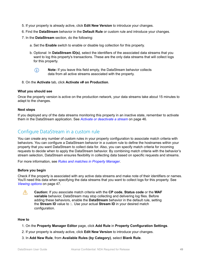- <span id="page-50-0"></span>5. If your property is already active, click **Edit New Version** to introduce your changes.
- 6. Find the **DataStream** behavior in the **Default Rule** or custom rule and introduce your changes.
- 7. In the **DataStream** section, do the following:
	- a. Set the **Enable** switch to enable or disable log collection for this property.
	- b. Optional: In **DataStream ID(s)**, select the identifiers of the associated data streams that you want to log this property's transactions. These are the only data streams that will collect logs for this property.
		- $\circ$ **Note:** If you leave this field empty, the DataStream behavior collects data from all active streams associated with the property.
- 8. On the **Activate** tab, click **Activate v# on Production**.

#### **What you should see**

Once the property version is active on the production network, your data streams take about 15 minutes to adapt to the changes.

#### **Next steps**

If you deployed any of the data streams monitoring this property in an inactive state, remember to activate them in the DataStream application. See *[Activate or deactivate a stream](#page-47-0)* on page 46.

### Configure DataStream in a custom rule

You can create any number of custom rules in your property configuration to associate match criteria with behaviors. You can configure a DataStream behavior in a custom rule to define the hostnames within your property that you want DataStream to collect data for. Also, you can specify match criteria for incoming requests to decide when to apply the DataStream behavior. By combining match criteria with the behavior's stream selection, DataStream ensures flexibility in collecting data based on specific requests and streams.

For more information, see *[Rules and matches in Property Manager](https://control.akamai.com/wh/CUSTOMER/AKAMAI/en-US/WEBHELP/property-manager/property-manager-help/GUID-E3810139-DCF1-48A8-8CAA-3A51D5F80E27.html)*.

#### **Before you begin**

Check if the property is associated with any active data streams and make note of their identifiers or names. You'll need this data when specifying the data streams that you want to collect logs for this property. See *[Viewing options](#page-48-0)* on page 47.

**Caution:** If you associate match criteria with the **CP code**, **Status code** or the **WAF** 八 **variable** behavior, DataStream may stop collecting and delivering log files. Before adding these behaviors, enable the **DataStream** behavior in the default rule, setting the **Stream ID** value to 1. Use your actual **Stream ID** in your desired match configuration.

#### **How to**

- 1. On the **Property Manager Editor** page, click **Add Rule** in **Property Configuration Settings**.
- 2. If your property is already active, click **Edit New Version** to introduce your changes.
- 3. In **Add New Rule**, from **Available Rules (by Category)**, select **Blank Rule**.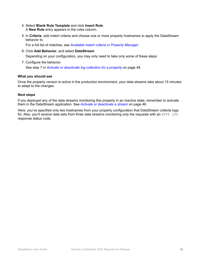- 4. Select **Blank Rule Template** and click **Insert Rule**. A **New Rule** entry appears in the rules column.
- 5. In **Criteria**, add match criteria and choose one or more property hostnames to apply the DataStream behavior to.

For a full list of matches, see *[Available match criteria in Property Manager](https://control.akamai.com/wh/CUSTOMER/AKAMAI/en-US/WEBHELP/property-manager/property-manager-help/GUID-11454D10-12C2-4EB3-AF64-3C80F433A116.html)*.

6. Click **Add Behavior**, and select **DataStream**.

Depending on your configuration, you may only need to take only some of these steps:

7. Configure the behavior.

See step 7 in *[Activate or deactivate log collection for a property](#page-49-0)* on page 48.

#### **What you should see**

Once the property version is active in the production environment, your data streams take about 15 minutes to adapt to the changes.

#### **Next steps**

If you deployed any of the data streams monitoring this property in an inactive state, remember to activate them in the DataStream application. See *[Activate or deactivate a stream](#page-47-0)* on page 46.

Here, you've specified only two hostnames from your property configuration that DataStream collects logs for. Also, you'll receive data sets from three data streams monitoring only the requests with an HTTP 200 response status code.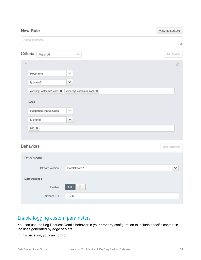<span id="page-52-0"></span>

| <b>New Rule</b>  |                       |                       | View Rule JSON |
|------------------|-----------------------|-----------------------|----------------|
| Add a comment    |                       |                       |                |
|                  |                       |                       | h              |
| Criteria         | Match All             | $\checkmark$          | Add Match      |
| lf               |                       |                       | d,             |
|                  | Hostname              | $\sim$                |                |
| is one of        |                       | $\checkmark$          |                |
|                  | www.myHostname1.com x | www.myHostname2.com X |                |
| AND -            |                       |                       |                |
|                  | Response Status Code  | $\checkmark$          |                |
| is one of        |                       | $\checkmark$          |                |
| $200 \times$     |                       |                       |                |
|                  |                       |                       |                |
| <b>Behaviors</b> |                       |                       | Add Behavior   |
| DataStream       |                       |                       |                |
|                  | Stream version        | DataStream 1          | $\checkmark$   |
| DataStream 1     |                       |                       |                |
|                  | Enable                | $\mathop{  }$<br>On   |                |

## Enable logging custom parameters

Stream IDs

 $1 - 2 - 5$ 

You can use the Log Request Details behavior in your property configuration to include specific content in log lines generated by edge servers.

In this behavior, you can control: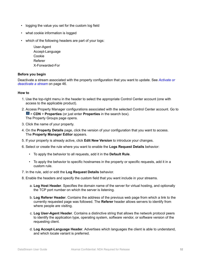- logging the value you set for the custom log field
- what cookie information is logged
- which of the following headers are part of your logs:

User-Agent Accept-Language Cookie Referer X-Forwarded-For

#### **Before you begin**

Deactivate a stream associated with the property configuration that you want to update. See *[Activate or](#page-47-0) [deactivate a stream](#page-47-0)* on page 46.

#### **How to**

- 1. Use the top-right menu in the header to select the appropriate Control Center account (one with access to the applicable product).
- 2. Access Property Manager configurations associated with the selected Control Center account. Go to > **CDN** > **Properties** (or just enter **Properties** in the search box). The Property Groups page opens.
- 3. Click the name of your property.
- 4. On the **Property Details** page, click the version of your configuration that you want to access. The **Property Manager Editor** appears.
- 5. If your property is already active, click **Edit New Version** to introduce your changes.
- 6. Select or create the rule where you want to enable the **Logs Request Details** behavior:
	- To apply the behavior to all requests, add it in the **Default Rule**.
	- To apply the behavior to specific hostnames in the property or specific requests, add it in a custom rule.
- 7. In the rule, add or edit the **Log Request Details** behavior.
- 8. Enable the headers and specify the custom field that you want include in your streams.
	- a. **Log Host Header**. Specifies the domain name of the server for virtual hosting, and optionally the TCP port number on which the server is listening.
	- b. **Log Referer Header**. Contains the address of the previous web page from which a link to the currently requested page was followed. The **Referer** header allows servers to identify from where people are visiting.
	- c. **Log User-Agent Header**. Contains a distinctive string that allows the network protocol peers to identify the application type, operating system, software vendor, or software version of the requesting client.
	- d. **Log Accept-Language Header**. Advertises which languages the client is able to understand, and which locale variant is preferred.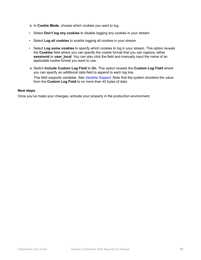- e. In **Cookie Mode**, choose which cookies you want to log.
- Select **Don't log any cookies** to disable logging any cookies in your stream.
- Select **Log all cookies** to enable logging all cookies in your stream
- Select **Log some cookies** to specify which cookies to log in your stream. This option reveals the **Cookies** field where you can specify the cookie format that you can capture, either **sessionid** or **user** local. You can also click the field and manually input the name of an applicable cookie format you want to use.
- a. Switch **Include Custom Log Field** to **On**. This option reveals the **Custom Log Field** where you can specify an additional data field to append to each log line.

This field supports variables. See *[Variable Support](https://control.akamai.com/wh/CUSTOMER/AKAMAI/en-US/WEBHELP/property-manager/property-manager-help/GUID-704CC10F-4820-478C-B574-C07D56CBD5AA.html)*. Note that the system shortens the value from the **Custom Log Field** to no more than 40 bytes of data.

#### **Next steps**

Once you've made your changes, activate your property in the production environment.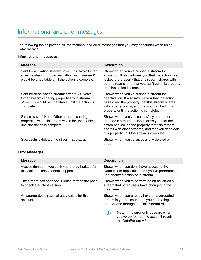## <span id="page-55-0"></span>Informational and error messages

The following tables provide all informational and error messages that you may encounter when using DataStream 1.

#### **Informational messages**

| <b>Message</b>                                                                                                                                                           | <b>Description</b>                                                                                                                                                                                                                                  |
|--------------------------------------------------------------------------------------------------------------------------------------------------------------------------|-----------------------------------------------------------------------------------------------------------------------------------------------------------------------------------------------------------------------------------------------------|
| Sent for activation stream: <i>stream ID</i> . Note: Other<br>streams sharing properties with stream stream ID<br>would be uneditable until the action is complete.      | Shown when you've pushed a stream for<br>activation. It also informs you that the action has<br>locked the property that this stream shares with<br>other streams, and that you can't edit this property<br>until the action is complete.           |
| Sent for deactivation stream: <i>stream ID</i> . Note:<br>Other streams sharing properties with stream<br>stream ID would be uneditable until the action is<br>complete. | Shown when you've pushed a stream for<br>deactivation. It also informs you that the action<br>has locked the property that this stream shares<br>with other streams, and that you can't edit this<br>property until the action is complete.         |
| Stream saved! Note: Other streams sharing<br>properties with this stream would be uneditable<br>until the action is complete.                                            | Shown when you've successfully created or<br>updated a stream. It also informs you that the<br>action has locked the property that this stream<br>shares with other streams, and that you can't edit<br>this property until the action is complete. |
| Successfully deleted the stream: <i>stream ID</i> .                                                                                                                      | Shown when you've successfully deleted a<br>stream.                                                                                                                                                                                                 |

#### **Error Messages**

| <b>Message</b>                                                                             | <b>Description</b>                                                                                                                                                                                                                             |
|--------------------------------------------------------------------------------------------|------------------------------------------------------------------------------------------------------------------------------------------------------------------------------------------------------------------------------------------------|
| Access denied. If you think you are authorized for<br>this action, please contact support. | Shown when you don't have access to the<br>DataStream application, or if you've performed an<br>unauthorized action on a stream.                                                                                                               |
| The stream has changed. Please refresh the page<br>to check the latest version.            | Shown when you're performing an action on a<br>stream that other users have changed in the<br>meantime.                                                                                                                                        |
| An aggregated stream already exists for this<br>account.                                   | Shown when you already have an aggregated<br>stream in your account, but you're creating<br>another one through the DataStream API.<br><b>Note:</b> This error only appears when<br>you've performed the action through<br>the DataStream API. |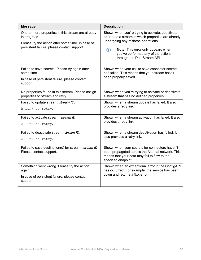| <b>Message</b>                                                                                                                                                        | <b>Description</b>                                                                                                                                                                                                                                                    |
|-----------------------------------------------------------------------------------------------------------------------------------------------------------------------|-----------------------------------------------------------------------------------------------------------------------------------------------------------------------------------------------------------------------------------------------------------------------|
| One or more properties in this stream are already<br>in progress.<br>Please try the action after some time. In case of<br>persistent failure, please contact support. | Shown when you're trying to activate, deactivate,<br>or update a stream in which properties are already<br>undergoing any of these operations.<br>Note: This error only appears when<br>$\circ$<br>you've performed any of the actions<br>through the DataStream API. |
| Failed to save secrets. Please try again after<br>some time.<br>In case of persistent failure, please contact<br>support.                                             | Shown when your call to save connector secrets<br>has failed. This means that your stream hasn't<br>been properly saved.                                                                                                                                              |
| No properties found in this stream. Please assign<br>properties to stream and retry.                                                                                  | Shown when you're trying to activate or deactivate<br>a stream that has no defined properties.                                                                                                                                                                        |
| Failed to update stream: stream ID.<br>A link to retry.                                                                                                               | Shown when a stream update has failed. It also<br>provides a retry link.                                                                                                                                                                                              |
| Failed to activate stream: stream ID.<br>A link to retry.                                                                                                             | Shown when a stream activation has failed. It also<br>provides a retry link.                                                                                                                                                                                          |
| Failed to deactivate stream: stream ID.<br>A link to retry.                                                                                                           | Shown when a stream deactivation has failed. It<br>also provides a retry link.                                                                                                                                                                                        |
| Failed to save destination(s) for stream: stream ID.<br>Please contact support.                                                                                       | Shown when your secrets for connectors haven't<br>been propagated across the Akamai network. This<br>means that your data may fail to flow to the<br>specified endpoint.                                                                                              |
| Something went wrong. Please try the action<br>again.<br>In case of persistent failure, please contact<br>support.                                                    | Shown when an exceptional error in the ConfigAPI<br>has occurred. For example, the service has been<br>down and returns a 5xx error.                                                                                                                                  |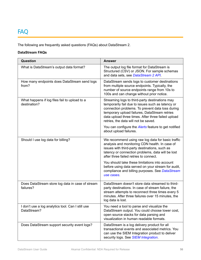## <span id="page-57-0"></span>FAQ

The following are frequently asked questions (FAQs) about DataStream 2.

#### **DataStream FAQs**

| Question                                                         | <b>Answer</b>                                                                                                                                                                                                                                                                                          |
|------------------------------------------------------------------|--------------------------------------------------------------------------------------------------------------------------------------------------------------------------------------------------------------------------------------------------------------------------------------------------------|
| What is DataStream's output data format?                         | The output log file format for DataStream is<br>Structured (CSV) or JSON. For sample schemas<br>and data sets, see DataStream 2 API.                                                                                                                                                                   |
| How many endpoints does DataStream send logs<br>from?            | DataStream sends logs to customer destinations<br>from multiple source endpoints. Typically, the<br>number of source endpoints range from 10s to<br>100s and can change without prior notice.                                                                                                          |
| What happens if log files fail to upload to a<br>destination?    | Streaming logs to third-party destinations may<br>temporarily fail due to issues such as latency or<br>connection problems. To prevent data loss during<br>temporary upload failures, DataStream retries<br>data upload three times. After three failed upload<br>retries, the data will not be saved. |
|                                                                  | You can configure the <b>Alerts</b> feature to get notified<br>about upload failures.                                                                                                                                                                                                                  |
| Should I use log data for billing?                               | We recommend using raw log data for basic traffic<br>analysis and monitoring CDN health. In case of<br>issues with third-party destinations, such as<br>latency or connection problems, data will be lost<br>after three failed retries to connect.                                                    |
|                                                                  | You should take these limitations into account<br>before using data served on your stream for audit,<br>compliance and billing purposes. See DataStream<br>use cases.                                                                                                                                  |
| Does DataStream store log data in case of stream<br>failures?    | DataStream doesn't store data streamed to third-<br>party destinations. In case of stream failure, the<br>stream attempts to reconnect three times every 5<br>minutes. After three failures over 15 minutes, the<br>log data is lost.                                                                  |
| I don't use a log analytics tool. Can I still use<br>DataStream? | You need a tool to parse and visualize the<br>DataStream output. You could choose lower cost,<br>open source stacks for data parsing and<br>visualization in human readable formats.                                                                                                                   |
| Does DataStream support security event logs?                     | DataStream is a log delivery product for all<br>transactional events and associated metrics. You<br>can use the SIEM Integration product to deliver<br>security logs. See SIEM Integration.                                                                                                            |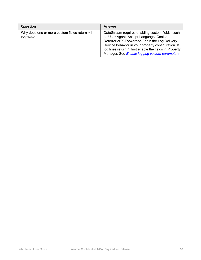| Question                                                           | <b>Answer</b>                                                                                                                                                                                                                                                                                                             |
|--------------------------------------------------------------------|---------------------------------------------------------------------------------------------------------------------------------------------------------------------------------------------------------------------------------------------------------------------------------------------------------------------------|
| Why does one or more custom fields return $\land$ in<br>log files? | DataStream requires enabling custom fields, such<br>as User-Agent, Accept-Language, Cookie,<br>Referrer or X-Forwarded-For in the Log Delivery<br>Service behavior in your property configuration. If<br>log lines return $\land$ , first enable the fields in Property<br>Manager. See Enable logging custom parameters. |